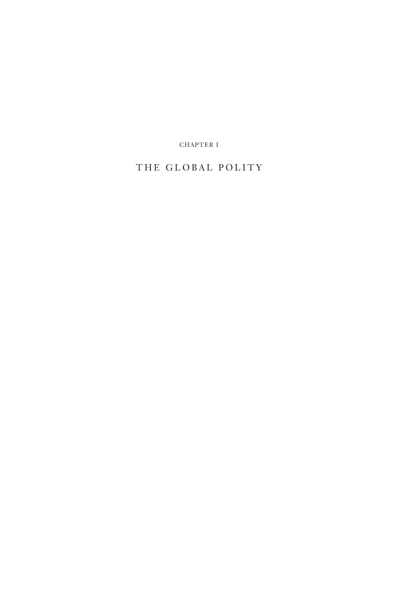CHAPTER I

THE GLOBAL POLITY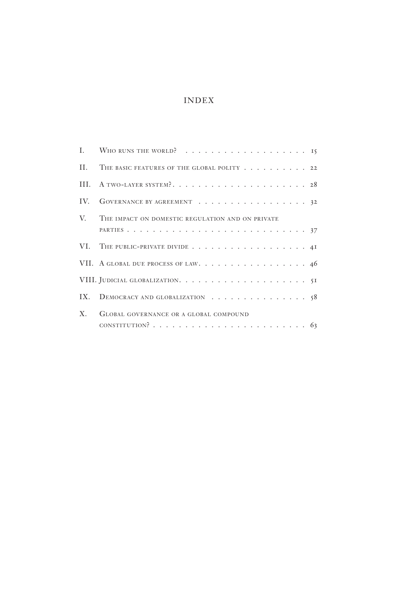# INDEX

| II. | THE BASIC FEATURES OF THE GLOBAL POLITY 22          |
|-----|-----------------------------------------------------|
|     | III. A TWO-LAYER SYSTEM? 28                         |
| IV. | GOVERNANCE BY AGREEMENT 32                          |
|     | V. THE IMPACT ON DOMESTIC REGULATION AND ON PRIVATE |
|     |                                                     |
|     | VI. THE PUBLIC-PRIVATE DIVIDE 4I                    |
|     | VII. A GLOBAL DUE PROCESS OF LAW 46                 |
|     |                                                     |
|     | IX. DEMOCRACY AND GLOBALIZATION 58                  |
| X.  | GLOBAL GOVERNANCE OR A GLOBAL COMPOUND              |
|     |                                                     |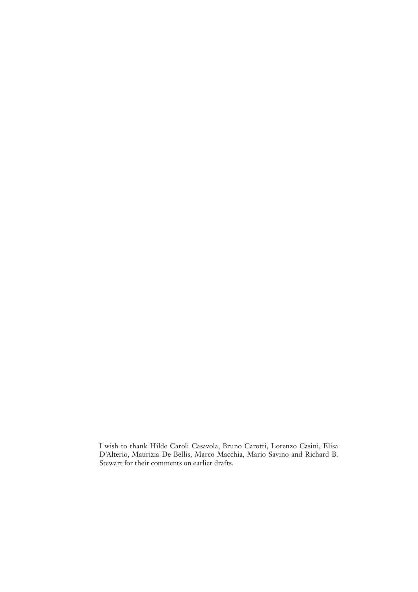I wish to thank Hilde Caroli Casavola, Bruno Carotti, Lorenzo Casini, Elisa D'Alterio, Maurizia De Bellis, Marco Macchia, Mario Savino and Richard B. Stewart for their comments on earlier drafts.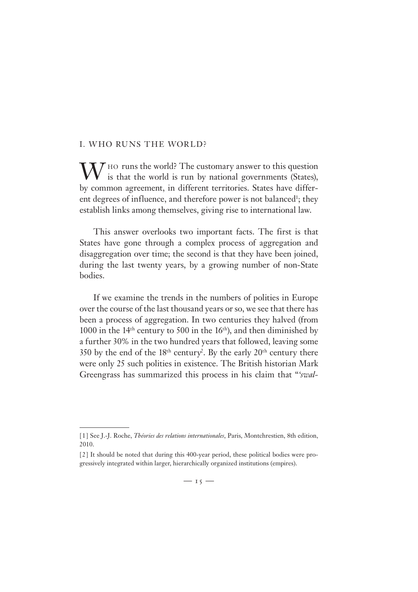### I. WHO RUNS THE WORLD?

W HO runs the world? The customary answer to this question is that the world is run by national governments (States), by common agreement, in different territories. States have different degrees of influence, and therefore power is not balanced<sup>1</sup>; they establish links among themselves, giving rise to international law.

This answer overlooks two important facts. The first is that States have gone through a complex process of aggregation and disaggregation over time; the second is that they have been joined, during the last twenty years, by a growing number of non-State bodies.

If we examine the trends in the numbers of polities in Europe over the course of the last thousand years or so, we see that there has been a process of aggregation. In two centuries they halved (from 1000 in the 14<sup>th</sup> century to 500 in the 16<sup>th</sup>), and then diminished by a further 30% in the two hundred years that followed, leaving some 350 by the end of the  $18<sup>th</sup>$  century<sup>2</sup>. By the early  $20<sup>th</sup>$  century there were only 25 such polities in existence. The British historian Mark Greengrass has summarized this process in his claim that "*'swal-*

<sup>[ 1 ]</sup> See J.-J. Roche, *Théories des relations internationales*, Paris, Montchrestien, 8th edition, 2010.

<sup>[2]</sup> It should be noted that during this 400-year period, these political bodies were progressively integrated within larger, hierarchically organized institutions (empires).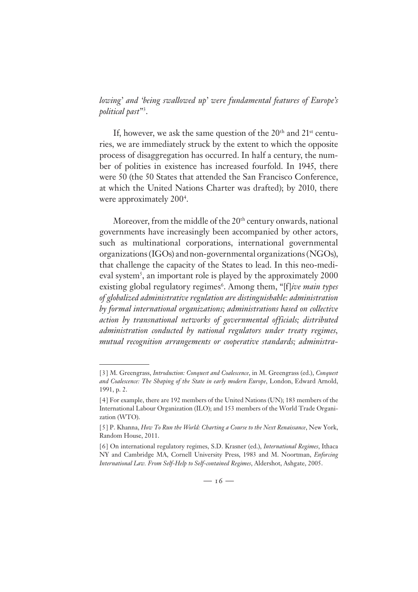*lowing' and 'being swallowed up' were fundamental features of Europe's political past*"3 .

If, however, we ask the same question of the  $20<sup>th</sup>$  and  $21<sup>st</sup>$  centuries, we are immediately struck by the extent to which the opposite process of disaggregation has occurred. In half a century, the number of polities in existence has increased fourfold. In 1945, there were 50 (the 50 States that attended the San Francisco Conference, at which the United Nations Charter was drafted); by 2010, there were approximately 200<sup>4</sup>.

Moreover, from the middle of the 20<sup>th</sup> century onwards, national governments have increasingly been accompanied by other actors, such as multinational corporations, international governmental organizations (IGOs) and non-governmental organizations (NGOs), that challenge the capacity of the States to lead. In this neo-medieval system<sup>5</sup>, an important role is played by the approximately 2000 existing global regulatory regimes<sup>6</sup>. Among them, "[f]*ive main types of globalized administrative regulation are distinguishable: administration by formal international organizations; administrations based on collective action by transnational networks of governmental officials; distributed administration conducted by national regulators under treaty regimes, mutual recognition arrangements or cooperative standards; administra-*

<sup>[ 3 ]</sup> M. Greengrass, *Introduction: Conquest and Coalescence*, in M. Greengrass (ed.), *Conquest and Coalescence: The Shaping of the State in early modern Europe*, London, Edward Arnold, 1991, p. 2.

<sup>[ 4 ]</sup> For example, there are 192 members of the United Nations (UN); 183 members of the International Labour Organization (ILO); and 153 members of the World Trade Organization (WTO).

<sup>[ 5 ]</sup> P. Khanna, *How To Run the World: Charting a Course to the Next Renaissance*, New York, Random House, 2011.

<sup>[ 6 ]</sup> On international regulatory regimes, S.D. Krasner (ed.), *International Regimes*, Ithaca NY and Cambridge MA, Cornell University Press, 1983 and M. Noortman, *Enforcing International Law. From Self-Help to Self-contained Regimes*, Aldershot, Ashgate, 2005.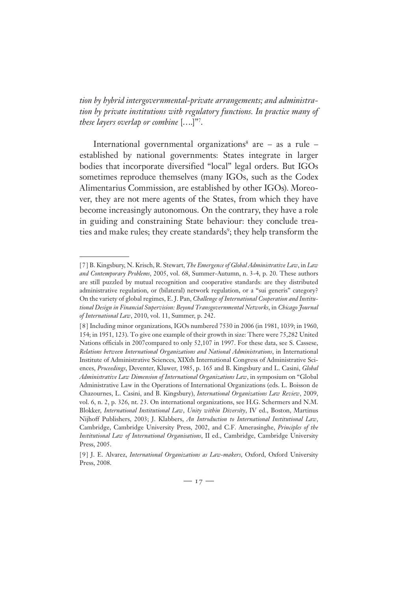*tion by hybrid intergovernmental-private arrangements; and administration by private institutions with regulatory functions. In practice many of these layers overlap or combine* [….]"7 .

International governmental organizations<sup>8</sup> are – as a rule – established by national governments: States integrate in larger bodies that incorporate diversified "local" legal orders. But IGOs sometimes reproduce themselves (many IGOs, such as the Codex Alimentarius Commission, are established by other IGOs). Moreover, they are not mere agents of the States, from which they have become increasingly autonomous. On the contrary, they have a role in guiding and constraining State behaviour: they conclude treaties and make rules; they create standards<sup>9</sup>; they help transform the

<sup>[ 7 ]</sup> B. Kingsbury, N. Krisch, R. Stewart, *The Emergence of Global Administrative Law*, in *Law and Contemporary Problems*, 2005, vol. 68, Summer-Autumn, n. 3-4, p. 20. These authors are still puzzled by mutual recognition and cooperative standards: are they distributed administrative regulation, or (bilateral) network regulation, or a "sui generis" category? On the variety of global regimes, E. J. Pan, *Challenge of International Cooperation and Institutional Design in Financial Supervision: Beyond Transgovernmental Networks*, in *Chicago Journal of International Law*, 2010, vol. 11, Summer, p. 242.

<sup>[ 8 ]</sup> Including minor organizations, IGOs numbered 7530 in 2006 (in 1981, 1039; in 1960, 154; in 1951, 123). To give one example of their growth in size: There were 75,282 United Nations officials in 2007compared to only 52,107 in 1997. For these data, see S. Cassese, *Relations between International Organizations and National Administrations*, in International Institute of Administrative Sciences, XIXth International Congress of Administrative Sciences, *Proceedings*, Deventer, Kluwer, 1985, p. 165 and B. Kingsbury and L. Casini, *Global Administrative Law Dimension of International Organizations Law*, in symposium on "Global Administrative Law in the Operations of International Organizations (eds. L. Boisson de Chazournes, L. Casini, and B. Kingsbury), *International Organizations Law Review*, 2009, vol. 6, n. 2, p. 326, nt. 23. On international organizations, see H.G. Schermers and N.M. Blokker, *International Institutional Law*, *Unity within Diversity*, IV ed., Boston, Martinus Nijhoff Publishers, 2003; J. Klabbers, *An Introduction to International Institutional Law*, Cambridge, Cambridge University Press, 2002, and C.F. Amerasinghe, *Principles of the Institutional Law of International Organisations*, II ed., Cambridge, Cambridge University Press, 2005.

<sup>[ 9 ]</sup> J. E. Alvarez, *International Organizations as Law-makers*, Oxford, Oxford University Press, 2008.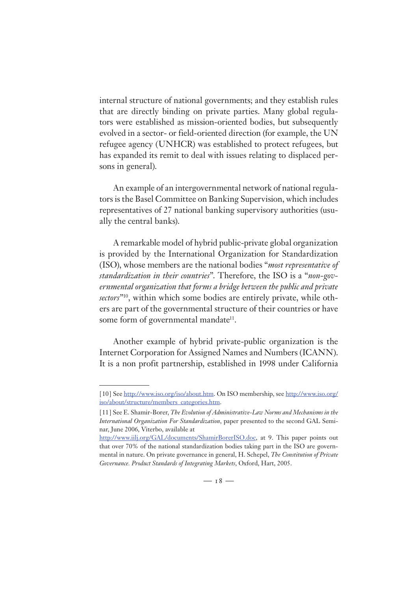internal structure of national governments; and they establish rules that are directly binding on private parties. Many global regulators were established as mission-oriented bodies, but subsequently evolved in a sector- or field-oriented direction (for example, the UN refugee agency (UNHCR) was established to protect refugees, but has expanded its remit to deal with issues relating to displaced persons in general).

An example of an intergovernmental network of national regulators is the Basel Committee on Banking Supervision, which includes representatives of 27 national banking supervisory authorities (usually the central banks).

A remarkable model of hybrid public-private global organization is provided by the International Organization for Standardization (ISO), whose members are the national bodies "*most representative of standardization in their countries*". Therefore, the ISO is a "*non-governmental organization that forms a bridge between the public and private sectors*"10, within which some bodies are entirely private, while others are part of the governmental structure of their countries or have some form of governmental mandate<sup>11</sup>.

Another example of hybrid private-public organization is the Internet Corporation for Assigned Names and Numbers (ICANN). It is a non profit partnership, established in 1998 under California

<sup>[ 10 ]</sup> See http://www.iso.org/iso/about.htm. On ISO membership, see http://www.iso.org/ iso/about/structure/members\_categories.htm.

<sup>[ 11 ]</sup> See E. Shamir-Borer, *The Evolution of Administrative-Law Norms and Mechanisms in the International Organization For Standardization*, paper presented to the second GAL Seminar, June 2006, Viterbo, available at

http://www.iilj.org/GAL/documents/ShamirBorerISO.doc, at 9. This paper points out that over 70% of the national standardization bodies taking part in the ISO are governmental in nature. On private governance in general, H. Schepel, *The Constitution of Private Governance. Product Standards of Integrating Markets*, Oxford, Hart, 2005.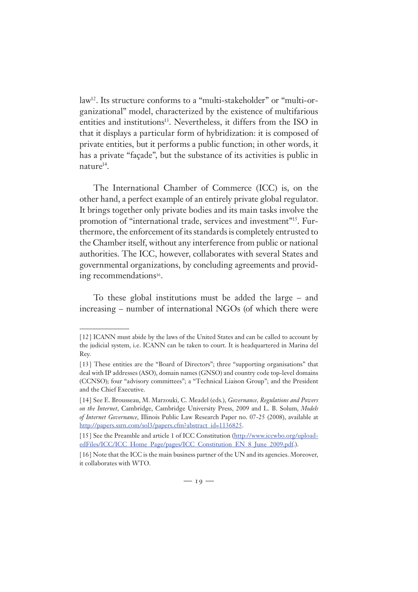law12. Its structure conforms to a "multi-stakeholder" or "multi-organizational" model, characterized by the existence of multifarious entities and institutions<sup>13</sup>. Nevertheless, it differs from the ISO in that it displays a particular form of hybridization: it is composed of private entities, but it performs a public function; in other words, it has a private "façade", but the substance of its activities is public in natur $e^{14}$ .

The International Chamber of Commerce (ICC) is, on the other hand, a perfect example of an entirely private global regulator. It brings together only private bodies and its main tasks involve the promotion of "international trade, services and investment"15. Furthermore, the enforcement of its standards is completely entrusted to the Chamber itself, without any interference from public or national authorities. The ICC, however, collaborates with several States and governmental organizations, by concluding agreements and providing recommendations<sup>16</sup>.

To these global institutions must be added the large – and increasing – number of international NGOs (of which there were

<sup>[12]</sup> ICANN must abide by the laws of the United States and can be called to account by the judicial system, i.e. ICANN can be taken to court. It is headquartered in Marina del Rey.

<sup>[13]</sup> These entities are the "Board of Directors"; three "supporting organisations" that deal with IP addresses (ASO), domain names (GNSO) and country code top-level domains (CCNSO); four "advisory committees"; a "Technical Liaison Group"; and the President and the Chief Executive.

<sup>[ 14 ]</sup> See E. Brousseau, M. Marzouki, C. Meadel (eds.), *Governance, Regulations and Powers on the Internet*, Cambridge, Cambridge University Press, 2009 and L. B. Solum, *Models of Internet Governance*, Illinois Public Law Research Paper no. 07-25 (2008), available at http://papers.ssrn.com/sol3/papers.cfm?abstract\_id=1136825.

<sup>[15]</sup> See the Preamble and article 1 of ICC Constitution (http://www.iccwbo.org/uploadedFiles/ICC/ICC\_Home\_Page/pages/ICC\_Constitution\_EN\_8\_June\_2009.pdf.).

<sup>[16]</sup> Note that the ICC is the main business partner of the UN and its agencies. Moreover, it collaborates with WTO.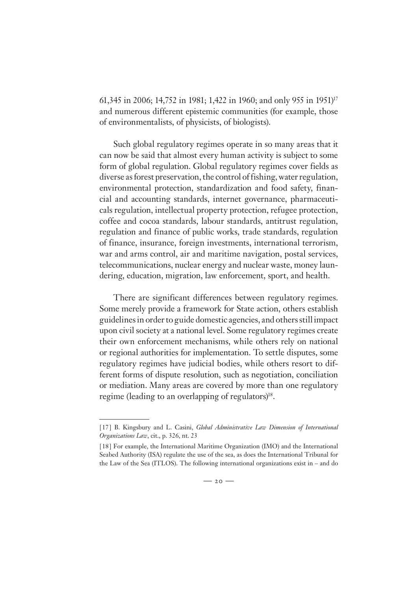61,345 in 2006; 14,752 in 1981; 1,422 in 1960; and only 955 in 1951)17 and numerous different epistemic communities (for example, those of environmentalists, of physicists, of biologists).

Such global regulatory regimes operate in so many areas that it can now be said that almost every human activity is subject to some form of global regulation. Global regulatory regimes cover fields as diverse as forest preservation, the control of fishing, water regulation, environmental protection, standardization and food safety, financial and accounting standards, internet governance, pharmaceuticals regulation, intellectual property protection, refugee protection, coffee and cocoa standards, labour standards, antitrust regulation, regulation and finance of public works, trade standards, regulation of finance, insurance, foreign investments, international terrorism, war and arms control, air and maritime navigation, postal services, telecommunications, nuclear energy and nuclear waste, money laundering, education, migration, law enforcement, sport, and health.

There are significant differences between regulatory regimes. Some merely provide a framework for State action, others establish guidelines in order to guide domestic agencies, and others still impact upon civil society at a national level. Some regulatory regimes create their own enforcement mechanisms, while others rely on national or regional authorities for implementation. To settle disputes, some regulatory regimes have judicial bodies, while others resort to different forms of dispute resolution, such as negotiation, conciliation or mediation. Many areas are covered by more than one regulatory regime (leading to an overlapping of regulators)<sup>18</sup>.

<sup>[ 17 ]</sup> B. Kingsbury and L. Casini, *Global Administrative Law Dimension of International Organizations Law*, cit., p. 326, nt. 23

<sup>[18]</sup> For example, the International Maritime Organization (IMO) and the International Seabed Authority (ISA) regulate the use of the sea, as does the International Tribunal for the Law of the Sea (ITLOS). The following international organizations exist in – and do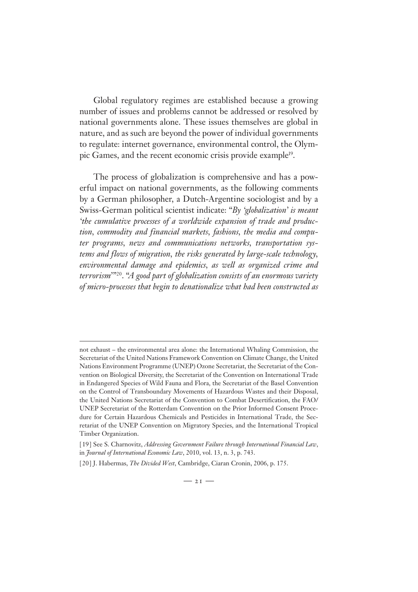Global regulatory regimes are established because a growing number of issues and problems cannot be addressed or resolved by national governments alone. These issues themselves are global in nature, and as such are beyond the power of individual governments to regulate: internet governance, environmental control, the Olympic Games, and the recent economic crisis provide example<sup>19</sup>.

The process of globalization is comprehensive and has a powerful impact on national governments, as the following comments by a German philosopher, a Dutch-Argentine sociologist and by a Swiss-German political scientist indicate: "*By 'globalization' is meant 'the cumulative processes of a worldwide expansion of trade and production, commodity and financial markets, fashions, the media and computer programs, news and communications networks, transportation systems and flows of migration, the risks generated by large-scale technology, environmental damage and epidemics, as well as organized crime and terrorism*'"20. "*A good part of globalization consists of an enormous variety of micro-processes that begin to denationalize what had been constructed as* 

not exhaust – the environmental area alone: the International Whaling Commission, the Secretariat of the United Nations Framework Convention on Climate Change, the United Nations Environment Programme (UNEP) Ozone Secretariat, the Secretariat of the Convention on Biological Diversity, the Secretariat of the Convention on International Trade in Endangered Species of Wild Fauna and Flora, the Secretariat of the Basel Convention on the Control of Transboundary Movements of Hazardous Wastes and their Disposal, the United Nations Secretariat of the Convention to Combat Desertification, the FAO/ UNEP Secretariat of the Rotterdam Convention on the Prior Informed Consent Procedure for Certain Hazardous Chemicals and Pesticides in International Trade, the Secretariat of the UNEP Convention on Migratory Species, and the International Tropical Timber Organization.

<sup>[ 19 ]</sup> See S. Charnovitz, *Addressing Government Failure through International Financial Law*, in *Journal of International Economic Law*, 2010, vol. 13, n. 3, p. 743.

<sup>[ 20 ]</sup> J. Habermas, *The Divided West*, Cambridge, Ciaran Cronin, 2006, p. 175.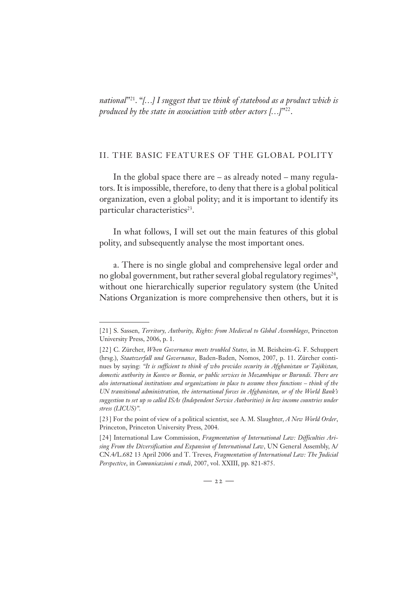*national*"21. "*[…] I suggest that we think of statehood as a product which is produced by the state in association with other actors […]*"22.

#### II. THE BASIC FEATURES OF THE GLOBAL POLITY

In the global space there are – as already noted – many regulators. It is impossible, therefore, to deny that there is a global political organization, even a global polity; and it is important to identify its particular characteristics<sup>23</sup>.

In what follows, I will set out the main features of this global polity, and subsequently analyse the most important ones.

a. There is no single global and comprehensive legal order and no global government, but rather several global regulatory regimes<sup>24</sup>, without one hierarchically superior regulatory system (the United Nations Organization is more comprehensive then others, but it is

<sup>[ 21 ]</sup> S. Sassen, *Territory, Authority, Rights: from Medieval to Global Assemblages*, Princeton University Press, 2006, p. 1.

<sup>[ 22 ]</sup> C. Zürcher, *When Governance meets troubled States*, in M. Beisheim-G. F. Schuppert (hrsg.), *Staatszerfall und Governance*, Baden-Baden, Nomos, 2007, p. 11. Zürcher continues by saying: *"It is sufficient to think of who provides security in Afghanistan or Tajikistan, domestic authority in Kosovo or Bosnia, or public services in Mozambique or Burundi. There are also international institutions and organizations in place to assume these functions – think of the UN transitional administration, the international forces in Afghanistan, or of the World Bank's suggestion to set up so called ISAs (Independent Service Authorities) in low income countries under stress (LICUS)".*

<sup>[ 23 ]</sup> For the point of view of a political scientist, see A. M. Slaughter, *A New World Order*, Princeton, Princeton University Press, 2004.

<sup>[24]</sup> International Law Commission, *Fragmentation of International Law: Difficulties Arising From the Diversification and Expansion of International Law*, UN General Assembly, A/ CN.4/L.682 13 April 2006 and T. Treves, *Fragmentation of International Law: The Judicial Perspective*, in *Comunicazioni e studi*, 2007, vol. XXIII, pp. 821-875.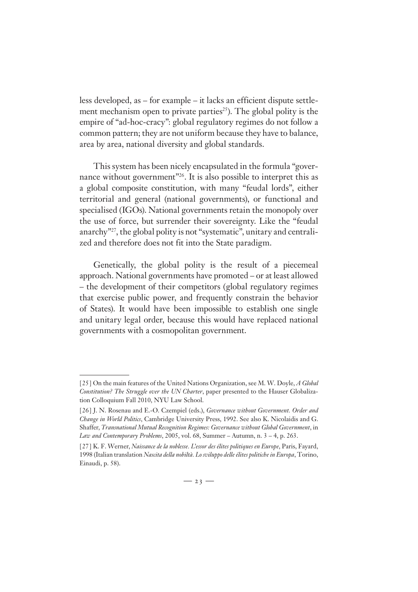less developed, as – for example – it lacks an efficient dispute settlement mechanism open to private parties<sup>25</sup>). The global polity is the empire of "ad-hoc-cracy": global regulatory regimes do not follow a common pattern; they are not uniform because they have to balance, area by area, national diversity and global standards.

This system has been nicely encapsulated in the formula "governance without government<sup>"26</sup>. It is also possible to interpret this as a global composite constitution, with many "feudal lords", either territorial and general (national governments), or functional and specialised (IGOs). National governments retain the monopoly over the use of force, but surrender their sovereignty. Like the "feudal anarchy"27, the global polity is not "systematic", unitary and centralized and therefore does not fit into the State paradigm.

Genetically, the global polity is the result of a piecemeal approach. National governments have promoted – or at least allowed – the development of their competitors (global regulatory regimes that exercise public power, and frequently constrain the behavior of States). It would have been impossible to establish one single and unitary legal order, because this would have replaced national go vernments with a cosmopolitan government.

<sup>[ 25 ]</sup> On the main features of the United Nations Organization, see M. W. Doyle, *A Global Constitution? The Struggle over the UN Charter*, paper presented to the Hauser Globalization Colloquium Fall 2010, NYU Law School.

<sup>[ 26 ]</sup> J. N. Rosenau and E.-O. Czempiel (eds.), *Governance without Government. Order and Change in World Politics*, Cambridge University Press, 1992. See also K. Nicolaidis and G. Shaffer, *Transnational Mutual Recognition Regimes: Governance without Global Government*, in *Law and Contemporary Problems*, 2005, vol. 68, Summer – Autumn, n. 3 – 4, p. 263.

<sup>[ 27 ]</sup> K. F. Werner, *Naissance de la noblesse. L'essor des élites politiques en Europe*, Paris, Fayard, 1998 (Italian translation *Nascita della nobiltà. Lo sviluppo delle élites politiche in Europa*, Torino, Einaudi, p. 58).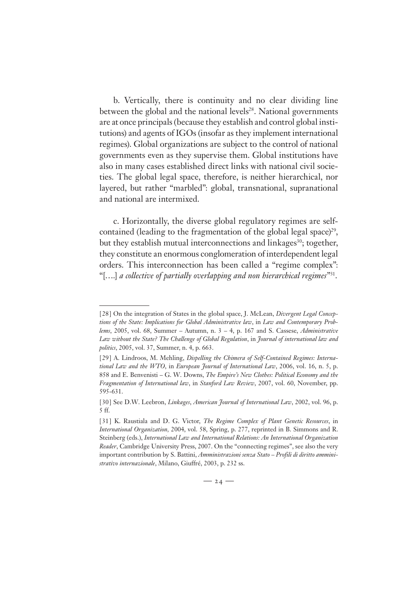b. Vertically, there is continuity and no clear dividing line between the global and the national levels<sup>28</sup>. National governments are at once principals (because they establish and control global institutions) and agents of IGOs (insofar as they implement international regimes). Global organizations are subject to the control of national governments even as they supervise them. Global institutions have also in many cases established direct links with national civil societies. The global legal space, therefore, is neither hierarchical, nor layered, but rather "marbled": global, transnational, supranational and national are intermixed.

c. Horizontally, the diverse global regulatory regimes are selfcontained (leading to the fragmentation of the global legal space)<sup>29</sup>, but they establish mutual interconnections and linkages<sup>30</sup>; together, they constitute an enormous conglomeration of interdependent legal orders. This interconnection has been called a "regime complex": "[….] *a collective of partially overlapping and non hierarchical regimes*"31.

<sup>[28]</sup> On the integration of States in the global space, J. McLean, *Divergent Legal Conceptions of the State: Implications for Global Administrative law*, in *Law and Contemporary Problems*, 2005, vol. 68, Summer – Autumn, n. 3 – 4, p. 167 and S. Cassese, *Administrative Law without the State? The Challenge of Global Regulation*, in *Journal of international law and politics*, 2005, vol. 37, Summer, n. 4, p. 663.

<sup>[ 29 ]</sup> A. Lindroos, M. Mehling, *Dispelling the Chimera of Self-Contained Regimes: International Law and the WTO*, in *European Journal of International Law*, 2006, vol. 16, n. 5, p. 858 and E. Benvenisti – G. W. Downs, *The Empire's New Clothes: Political Economy and the Fragmentation of International law*, in *Stanford Law Review*, 2007, vol. 60, November, pp. 595-631.

<sup>[ 30 ]</sup> See D.W. Leebron, *Linkages*, *American Journal of International Law*, 2002, vol. 96, p. 5 ff.

<sup>[ 31 ]</sup> K. Raustiala and D. G. Victor, *The Regime Complex of Plant Genetic Resources*, in *International Organization,* 2004, vol. 58, Spring, p. 277, reprinted in B. Simmons and R. Steinberg (eds.), *International Law and International Relations: An International Organization Reader*, Cambridge University Press, 2007. On the "connecting regimes", see also the very important contribution by S. Battini, *Amministrazioni senza Stato – Profili di diritto amministrativo internazionale*, Milano, Giuffré, 2003, p. 232 ss.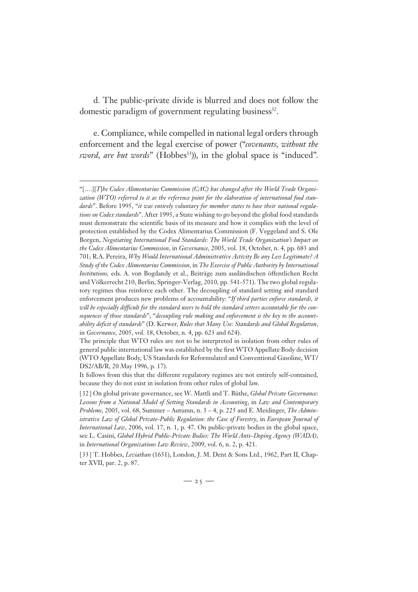d. The public-private divide is blurred and does not follow the domestic paradigm of government regulating business $32$ .

e. Compliance, while compelled in national legal orders through enforcement and the legal exercise of power ("*covenants, without the sword, are but words*" (Hobbes<sup>33</sup>)), in the global space is "induced".

<sup>&</sup>quot;[….][*T*]*he Codex Alimentarius Commission (CAC) has changed after the World Trade Organization (WTO) referred to it as the reference point for the elaboration of international food stan*dards". Before 1995, "*it was entirely voluntary for member states to base their national regulations on Codex standards*". After 1995, a State wishing to go beyond the global food standards must demonstrate the scientific basis of its measure and how it complies with the level of protection established by the Codex Alimentarius Commission (F. Veggeland and S. Ole Borgen, *Negotiating International Food Standards: The World Trade Organization's Impact on the Codex Alimentarius Commission*, in *Governance,* 2005, vol. 18, October, n. 4, pp. 683 and 701; R.A. Pereira, *Why Would International Administrative Activity Be any Less Legitimate? A Study of the Codex Alimentarius Commission*, in *The Exercise of Public Authority by International Institutions,* eds. A. von Bogdandy et al., Beiträge zum ausländischen öffentlichen Recht und Völkerrecht 210, Berlin, Springer-Verlag, 2010, pp. 541-571). The two global regulatory regimes thus reinforce each other. The decoupling of standard setting and standard enforcement produces new problems of accountability: "*If third parties enforce standards, it will be especially difficult for the standard users to hold the standard setters accountable for the consequences of those standards*"; "*decoupling rule making and enforcement is the key to the accountability deficit of standards*" (D. Kerwer, *Rules that Many Use: Standards and Global Regulation*, in *Governance,* 2005, vol. 18, October, n. 4, pp. 623 and 624).

The principle that WTO rules are not to be interpreted in isolation from other rules of general public international law was established by the first WTO Appellate Body decision (WTO Appellate Body, US Standards for Reformulated and Conventional Gasoline, WT/ DS2/AB/R, 20 May 1996, p. 17).

It follows from this that the different regulatory regimes are not entirely self-contained, because they do not exist in isolation from other rules of global law.

<sup>[ 32 ]</sup> On global private governance, see W. Mattli and T. Büthe, *Global Private Governance: Lessons from a National Model of Setting Standards in Accounting*, in *Law and Contemporary Problems*, 2005, vol. 68, Summer – Autumn, n. 3 – 4, p. 225 and E. Meidinger, *The Administrative Law of Global Private-Public Regulation: the Case of Forestry*, in *European Journal of International Law*, 2006, vol. 17, n. 1, p. 47. On public-private bodies in the global space, see L. Casini, *Global Hybrid Public-Private Bodies: The World Anti–Doping Agency (WADA)*, in *International Organizations Law Review*, 2009, vol. 6, n. 2, p. 421.

<sup>[ 33 ]</sup> T. Hobbes, *Leviathan* (1651), London, J. M. Dent & Sons Ltd., 1962, Part II, Chapter XVII, par. 2, p. 87.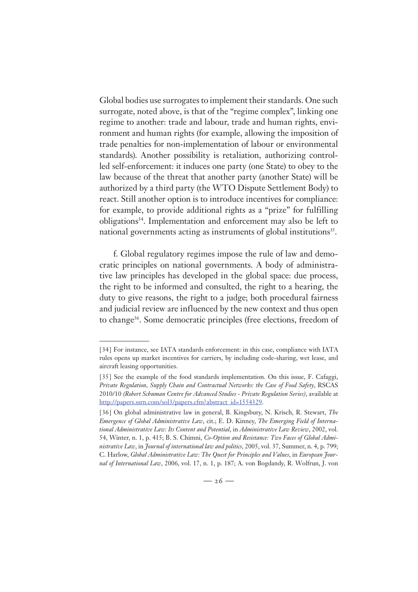Global bodies use surrogates to implement their standards. One such surrogate, noted above, is that of the "regime complex", linking one regime to another: trade and labour, trade and human rights, environment and human rights (for example, allowing the imposition of trade penalties for non-implementation of labour or environmental standards). Another possibility is retaliation, authorizing controlled self-enforcement: it induces one party (one State) to obey to the law because of the threat that another party (another State) will be authorized by a third party (the WTO Dispute Settlement Body) to react. Still another option is to introduce incentives for compliance: for example, to provide additional rights as a "prize" for fulfilling obligations34. Implementation and enforcement may also be left to national governments acting as instruments of global institutions<sup>35</sup>.

f. Global regulatory regimes impose the rule of law and democratic principles on national governments. A body of administrative law principles has developed in the global space: due process, the right to be informed and consulted, the right to a hearing, the duty to give reasons, the right to a judge; both procedural fairness and judicial review are influenced by the new context and thus open to change<sup>36</sup>. Some democratic principles (free elections, freedom of

<sup>[34]</sup> For instance, see IATA standards enforcement: in this case, compliance with IATA rules opens up market incentives for carriers, by including code-sharing, wet lease, and aircraft leasing opportunities.

<sup>[35]</sup> See the example of the food standards implementation. On this issue, F. Cafaggi, *Private Regulation, Supply Chain and Contractual Networks: the Case of Food Safety*, RSCAS 2010/10 *(Robert Schuman Centre for Advanced Studies - Private Regulation Series)*, available at http://papers.ssrn.com/sol3/papers.cfm?abstract\_id=1554329.

<sup>[ 36 ]</sup> On global administrative law in general, B. Kingsbury, N. Krisch, R. Stewart, *The Emergence of Global Administrative Law*, cit.; E. D. Kinney, *The Emerging Field of International Administrative Law: Its Content and Potential*, in *Administrative Law Review*, 2002, vol. 54, Winter, n. 1, p. 415; B. S. Chimni, *Co-Option and Resistance: Two Faces of Global Administrative Law*, in *Journal of international law and politics*, 2005, vol. 37, Summer, n. 4, p. 799; C. Harlow, *Global Administrative Law: The Quest for Principles and Values*, in *European Journal of International Law*, 2006, vol. 17, n. 1, p. 187; A. von Bogdandy, R. Wolfrun, J. von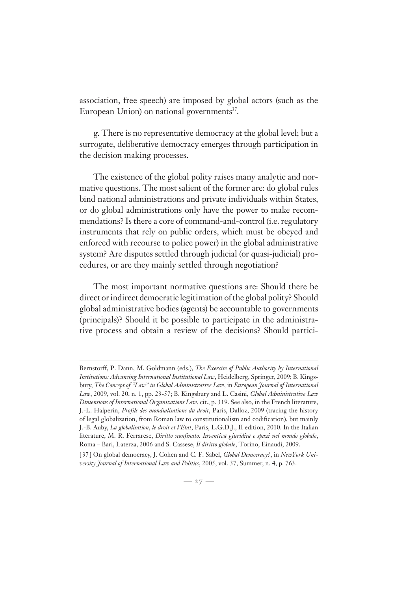association, free speech) are imposed by global actors (such as the European Union) on national governments<sup>37</sup>.

g. There is no representative democracy at the global level; but a surrogate, deliberative democracy emerges through participation in the decision making processes.

The existence of the global polity raises many analytic and normative questions. The most salient of the former are: do global rules bind national administrations and private individuals within States, or do global administrations only have the power to make recommendations? Is there a core of command-and-control (i.e. regulatory instruments that rely on public orders, which must be obeyed and enforced with recourse to police power) in the global administrative system? Are disputes settled through judicial (or quasi-judicial) procedures, or are they mainly settled through negotiation?

The most important normative questions are: Should there be direct or indirect democratic legitimation of the global polity? Should global administrative bodies (agents) be accountable to gover nments (principals)? Should it be possible to participate in the administrative process and obtain a review of the decisions? Should partici-

Bernstorff, P. Dann, M. Goldmann (eds.), *The Exercise of Public Authority by International Institutions: Advancing International Institutional Law*, Heidelberg, Springer, 2009; B. Kingsbury, *The Concept of "Law" in Global Administrative Law*, in *European Journal of International Law*, 2009, vol. 20, n. 1, pp. 23-57; B. Kingsbury and L. Casini, *Global Administrative Law Dimensions of International Organizations Law*, cit., p. 319. See also, in the French literature, J.-L. Halperin, *Profils des mondialisations du droit*, Paris, Dalloz, 2009 (tracing the history of legal globalization, from Roman law to constitutionalism and codification), but mainly J.-B. Auby, *La globalisation, le droit et l'Etat*, Paris, L.G.D.J., II edition, 2010. In the Italian literature, M. R. Ferrarese, *Diritto sconfinato. Inventiva giuridica e spazi nel mondo globale*, Roma – Bari, Laterza, 2006 and S. Cassese, *Il diritto globale*, Torino, Einaudi, 2009.

<sup>[ 37 ]</sup> On global democracy, J. Cohen and C. F. Sabel, *Global Democracy?*, in *NewYork University Journal of International Law and Politics*, 2005, vol. 37, Summer, n. 4, p. 763.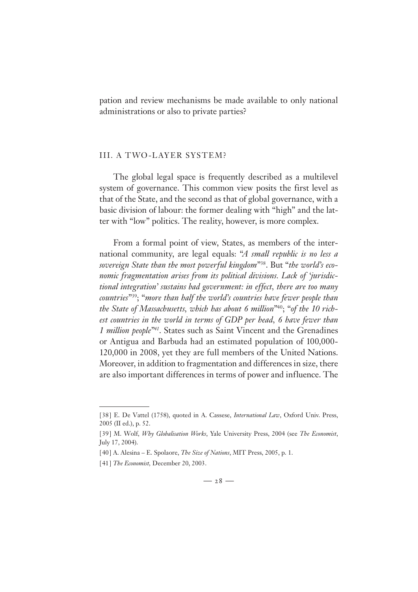pation and review mechanisms be made available to only national administrations or also to private parties?

#### III. A TWO-LAYER SYSTEM?

The global legal space is frequently described as a multilevel system of governance. This common view posits the first level as that of the State, and the second as that of global governance, with a basic division of labour: the former dealing with "high" and the latter with "low" politics. The reality, however, is more complex.

From a formal point of view, States, as members of the international community, are legal equals: "*A small republic is no less a sovereign State than the most powerful kingdom*"38. But "*the world's economic fragmentation arises from its political divisions. Lack of 'jurisdictional integration' sustains bad government: in effect, there are too many countries*"39; "*more than half the world's countries have fewer people than the State of Massachusetts, which has about 6 million*"40; "*of the 10 richest countries in the world in terms of GDP per head, 6 have fewer than 1 million people*"*<sup>41</sup>*. States such as Saint Vincent and the Grenadines or Antigua and Barbuda had an estimated population of 100,000- 120,000 in 2008, yet they are full members of the United Nations. Moreover, in addition to fragmentation and differences in size, there are also important differences in terms of power and influence. The

<sup>[ 38 ]</sup> E. De Vattel (1758), quoted in A. Cassese, *International Law*, Oxford Univ. Press, 2005 (II ed.), p. 52.

<sup>[ 39 ]</sup> M. Wolf, *Why Globalisation Works*, Yale University Press, 2004 (see *The Economist*, July 17, 2004).

<sup>[ 40 ]</sup> A. Alesina – E. Spolaore, *The Size of Nations*, MIT Press, 2005, p. 1.

<sup>[ 41 ]</sup> *The Economist,* December 20, 2003.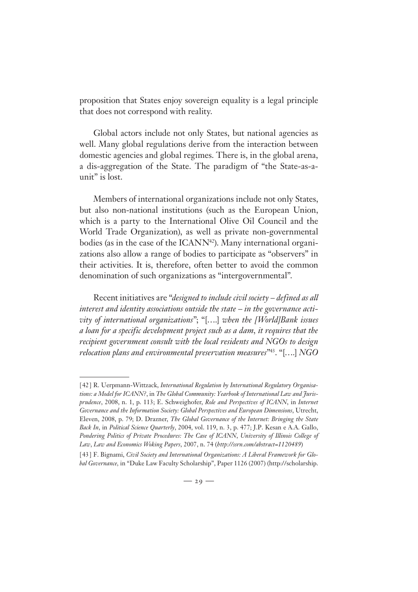proposition that States enjoy sovereign equality is a legal principle that does not correspond with reality.

Global actors include not only States, but national agencies as well. Many global regulations derive from the interaction between domestic agencies and global regimes. There is, in the global arena, a dis-aggregation of the State. The paradigm of "the State-as-aunit" is lost.

Members of international organizations include not only States, but also non-national institutions (such as the European Union, which is a party to the International Olive Oil Council and the World Trade Organization), as well as private non-governmental bodies (as in the case of the  $ICANN<sup>42</sup>$ ). Many international organizations also allow a range of bodies to participate as "observers" in their activities. It is, therefore, often better to avoid the common denomination of such organizations as "intergovernmental".

Recent initiatives are "*designed to include civil society – defined as all interest and identity associations outside the state – in the governance activity of international organizations*"; "[….] *when the [World]Bank issues a loan for a specific development project such as a dam, it requires that the recipient government consult with the local residents and NGOs to design relocation plans and environmental preservation measures*"43. "[….] *NGO* 

<sup>[ 42 ]</sup> R. Uerpmann-Wittzack, *International Regulation by International Regulatory Organisations: a Model for ICANN?*, in *The Global Community: Yearbook of International Law and Jurisprudence*, 2008, n. 1, p. 113; E. Schweighofer, *Role and Perspectives of ICANN*, in *Internet Governance and the Information Society: Global Perspectives and European Dimensions*, Utrecht, Eleven, 2008, p. 79; D. Drazner, *The Global Governance of the Internet: Bringing the State Back In*, in *Political Science Quarterly*, 2004, vol. 119, n. 3, p. 477; J.P. Kesan e A.A. Gallo, *Pondering Politics of Private Procedures: The Case of ICANN*, *University of Illinois College of Law*, *Law and Economics Woking Papers*, 2007, n. 74 (*http://ssrn.com/abstract=1120489*)

<sup>[ 43 ]</sup> F. Bignami, *Civil Society and International Organizations: A Liberal Framework for Global Governance,* in "Duke Law Faculty Scholarship", Paper 1126 (2007) (http://scholarship.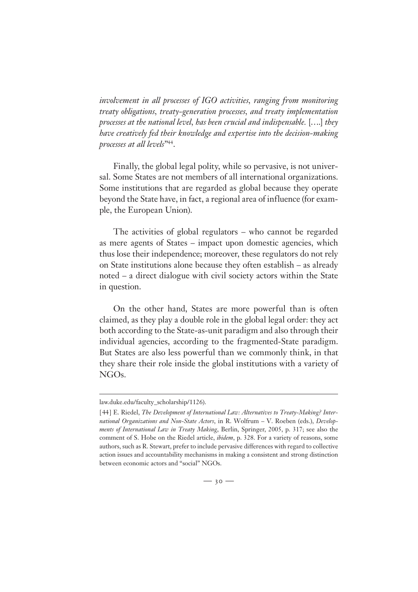*involvement in all processes of IGO activities, ranging from monitoring treaty obligations, treaty-generation processes, and treaty implementation processes at the national level, has been crucial and indispensable.* [….] *they have creatively fed their knowledge and expertise into the decision-making processes at all levels*"44.

Finally, the global legal polity, while so pervasive, is not universal. Some States are not members of all international organizations. Some institutions that are regarded as global because they operate beyond the State have, in fact, a regional area of influence (for example, the European Union).

The activities of global regulators – who cannot be regarded as mere agents of States – impact upon domestic agencies, which thus lose their independence; moreover, these regulators do not rely on State institutions alone because they often establish – as already noted – a direct dialogue with civil society actors within the State in question.

On the other hand, States are more powerful than is often claimed, as they play a double role in the global legal order: they act both according to the State-as-unit paradigm and also through their individual agencies, according to the fragmented-State paradigm. But States are also less powerful than we commonly think, in that they share their role inside the global institutions with a variety of NGOs.

law.duke.edu/faculty\_scholarship/1126).

<sup>[44]</sup> E. Riedel, *The Development of International Law: Alternatives to Treaty-Making? International Organizations and Non-State Actors*, in R. Wolfrum – V. Roeben (eds.), *Developments of International Law in Treaty Making*, Berlin, Springer, 2005, p. 317; see also the comment of S. Hobe on the Riedel article, *ibidem*, p. 328. For a variety of reasons, some authors, such as R. Stewart, prefer to include pervasive differences with regard to collective action issues and accountability mechanisms in making a consistent and strong distinction between economic actors and "social" NGOs.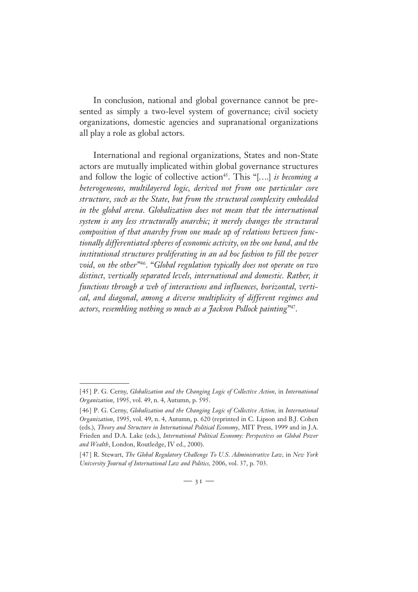In conclusion, national and global governance cannot be presented as simply a two-level system of governance; civil society organizations, domestic agencies and supranational organizations all play a role as global actors.

International and regional organizations, States and non-State actors are mutually implicated within global governance structures and follow the logic of collective action<sup>45</sup>. This "[...] *is becoming a heterogeneous, multilayered logic, derived not from one particular core structure, such as the State, but from the structural complexity embedded in the global arena. Globalization does not mean that the international system is any less structurally anarchic; it merely changes the structural composition of that anarchy from one made up of relations between functionally differentiated spheres of economic activity, on the one hand, and the institutional structures proliferating in an ad hoc fashion to fill the power void, on the other*"46. "*Global regulation typically does not operate on two distinct, vertically separated levels, international and domestic. Rather, it functions through a web of interactions and influences, horizontal, vertical, and diagonal, among a diverse multiplicity of different regimes and actors, resembling nothing so much as a Jackson Pollock painting*"47.

<sup>[ 45 ]</sup> P. G. Cerny, *Globalization and the Changing Logic of Collective Action*, in *International Organization*, 1995, vol. 49, n. 4, Autumn, p. 595.

<sup>[ 46 ]</sup> P. G. Cerny, *Globalization and the Changing Logic of Collective Action,* in *International Organization*, 1995, vol. 49, n. 4, Autumn, p. 620 (reprinted in C. Lipson and B.J. Cohen (eds.), *Theory and Structure in International Political Economy*, MIT Press, 1999 and in J.A. Frieden and D.A. Lake (eds.), *International Political Economy: Perspectives on Global Power and Wealth*, London, Routledge, IV ed., 2000).

<sup>[ 47 ]</sup> R. Stewart, *The Global Regulatory Challenge To U.S. Administrative Law,* in *New York University Journal of International Law and Politics,* 2006, vol. 37, p. 703.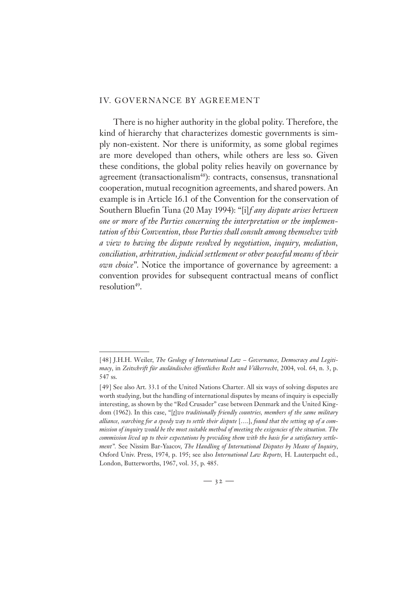#### IV. GOVERNANCE BY AGREEMENT

There is no higher authority in the global polity. Therefore, the kind of hierarchy that characterizes domestic governments is simply non-existent. Nor there is uniformity, as some global regimes are more developed than others, while others are less so. Given these conditions, the global polity relies heavily on governance by agreement (transactionalism<sup>48</sup>): contracts, consensus, transnational cooperation, mutual recognition agreements, and shared powers. An example is in Article 16.1 of the Convention for the conservation of Southern Bluefin Tuna (20 May 1994): "[i]*f any dispute arises between one or more of the Parties concerning the interpretation or the implementation of this Convention, those Parties shall consult among themselves with a view to having the dispute resolved by negotiation, inquiry, mediation, conciliation, arbitration, judicial settlement or other peaceful means of their own choice*". Notice the importance of governance by agreement: a convention provides for subsequent contractual means of conflict resolution<sup>49</sup>.

<sup>[48]</sup> J.H.H. Weiler, *The Geology of International Law – Governance*, *Democracy and Legitimacy*, in *Zeitschrift für ausländisches öffentliches Recht und Völkerrecht*, 2004, vol. 64, n. 3, p. 547 ss.

<sup>[ 49 ]</sup> See also Art. 33.1 of the United Nations Charter. All six ways of solving disputes are worth studying, but the handling of international disputes by means of inquiry is especially interesting, as shown by the "Red Crusader" case between Denmark and the United Kingdom (1962). In this case, "[*t*]*wo traditionally friendly countries, members of the same military alliance, searching for a speedy way to settle their dispute* [….], *found that the setting up of a commission of inquiry would be the most suitable method of meeting the exigencies of the situation. The commission lived up to their expectations by providing them with the basis for a satisfactory settlement".* See Nissim Bar-Yaacov, *The Handling of International Disputes by Means of Inquiry*, Oxford Univ. Press, 1974, p. 195; see also *International Law Reports,* H. Lauterpacht ed., London, Butterworths, 1967, vol. 35, p. 485.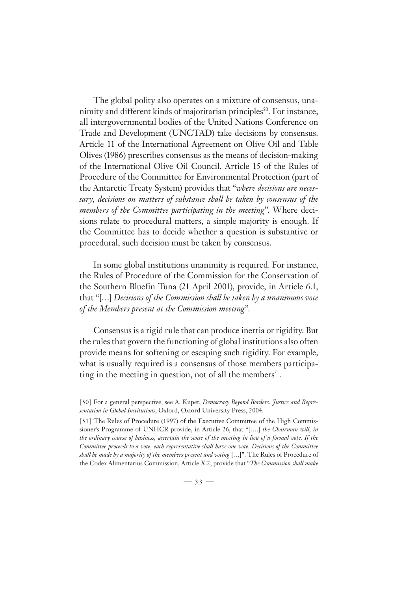The global polity also operates on a mixture of consensus, unanimity and different kinds of majoritarian principles<sup>50</sup>. For instance, all intergovernmental bodies of the United Nations Conference on Trade and Development (UNCTAD) take decisions by consensus. Article 11 of the International Agreement on Olive Oil and Table Olives (1986) prescribes consensus as the means of decision-making of the International Olive Oil Council. Article 15 of the Rules of Procedure of the Committee for Environmental Protection (part of the Antarctic Treaty System) provides that "*where decisions are necessary, decisions on matters of substance shall be taken by consensus of the members of the Committee participating in the meeting*". Where decisions relate to procedural matters, a simple majority is enough. If the Committee has to decide whether a question is substantive or procedural, such decision must be taken by consensus.

In some global institutions unanimity is required. For instance, the Rules of Procedure of the Commission for the Conservation of the Southern Bluefin Tuna (21 April 2001), provide, in Article 6.1, that "[…] *Decisions of the Commission shall be taken by a unanimous vote of the Members present at the Commission meeting*".

Consensus is a rigid rule that can produce inertia or rigidity. But the rules that govern the functioning of global institutions also often provide means for softening or escaping such rigidity. For example, what is usually required is a consensus of those members participating in the meeting in question, not of all the members<sup>51</sup>.

<sup>[ 50 ]</sup> For a general perspective, see A. Kuper, *Democracy Beyond Borders. Justice and Representation in Global Institutions*, Oxford, Oxford University Press, 2004.

<sup>[51]</sup> The Rules of Procedure (1997) of the Executive Committee of the High Commissioner's Programme of UNHCR provide, in Article 26, that "[….] *the Chairman will, in the ordinary course of business, ascertain the sense of the meeting in lieu of a formal vote. If the Committee proceeds to a vote, each representative shall have one vote. Decisions of the Committee shall be made by a majority of the members present and voting* […]". The Rules of Procedure of the Codex Alimentarius Commission, Article X.2, provide that "*The Commission shall make*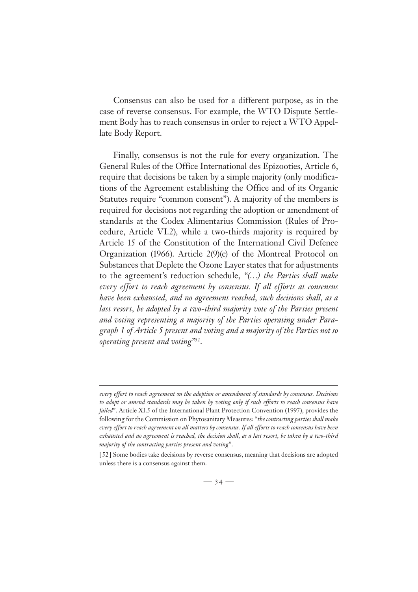Consensus can also be used for a different purpose, as in the case of reverse consensus. For example, the WTO Dispute Settlement Body has to reach consensus in order to reject a WTO Appellate Body Report.

Finally, consensus is not the rule for every organization. The General Rules of the Office International des Epizooties, Article 6, require that decisions be taken by a simple majority (only modifications of the Agreement establishing the Office and of its Organic Statutes require "common consent"). A majority of the members is required for decisions not regarding the adoption or amendment of standards at the Codex Alimentarius Commission (Rules of Procedure, Article VI.2), while a two-thirds majority is required by Article 15 of the Constitution of the International Civil Defence Organization (1966). Article 2(9)(c) of the Montreal Protocol on Substances that Deplete the Ozone Layer states that for adjustments to the agreement's reduction schedule, *"(…) the Parties shall make every effort to reach agreement by consensus. If all efforts at consensus have been exhausted, and no agreement reached, such decisions shall, as a*  last resort, be adopted by a two-third majority vote of the Parties present *and voting representing a majority of the Parties operating under Paragraph 1 of Article 5 present and voting and a majority of the Parties not so operating present and voting*<sup>752</sup>.

*every effort to reach agreement on the adoption or amendment of standards by consensus. Decisions to adopt or amend standards may be taken by voting only if such efforts to reach consensus have failed*". Article XI.5 of the International Plant Protection Convention (1997), provides the following for the Commission on Phytosanitary Measures: "*the contracting parties shall make every effort to reach agreement on all matters by consensus. If all efforts to reach consensus have been exhausted and no agreement is reached, the decision shall, as a last resort, be taken by a two-third majority of the contracting parties present and voting*".

<sup>[ 52 ]</sup> Some bodies take decisions by reverse consensus, meaning that decisions are adopted unless there is a consensus against them.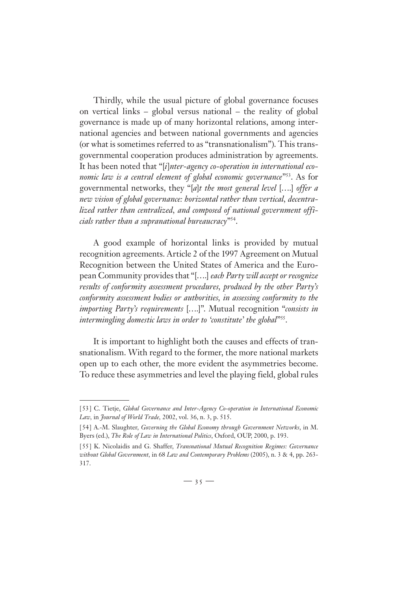Thirdly, while the usual picture of global governance focuses on vertical links – global versus national – the reality of global governance is made up of many horizontal relations, among international agencies and between national governments and agencies (or what is sometimes referred to as "transnationalism"). This transgovernmental cooperation produces administration by agreements. It has been noted that "[*i*]*nter-agency co-operation in international economic law is a central element of global economic governance*"53. As for governmental networks, they "[*a*]*t the most general level* [….] *offer a new vision of global governance: horizontal rather than vertical, decentralized rather than centralized, and composed of national government officials rather than a supranational bureaucracy*"54.

A good example of horizontal links is provided by mutual re cognition agreements. Article 2 of the 1997 Agreement on Mutual Recognition between the United States of America and the European Community provides that "[….] *each Party will accept or recognize results of conformity assessment procedures, produced by the other Party's conformity assessment bodies or authorities, in assessing conformity to the importing Party's requirements* [….]". Mutual recognition "*consists in intermingling domestic laws in order to 'constitute' the global*"55.

It is important to highlight both the causes and effects of transnationalism. With regard to the former, the more national markets open up to each other, the more evident the asymmetries become. To reduce these asymmetries and level the playing field, global rules

<sup>[ 53 ]</sup> C. Tietje, *Global Governance and Inter-Agency Co-operation in International Economic Law,* in *Journal of World Trade,* 2002, vol. 36, n. 3, p. 515.

<sup>[ 54 ]</sup> A.-M. Slaughter, *Governing the Global Economy through Government Networks*, in M. Byers (ed.), *The Role of Law in International Politics*, Oxford, OUP, 2000, p. 193.

<sup>[ 55 ]</sup> K. Nicolaidis and G. Shaffer, *Transnational Mutual Recognition Regimes: Governance without Global Government,* in 68 *Law and Contemporary Problems* (2005), n. 3 & 4, pp. 263- 317.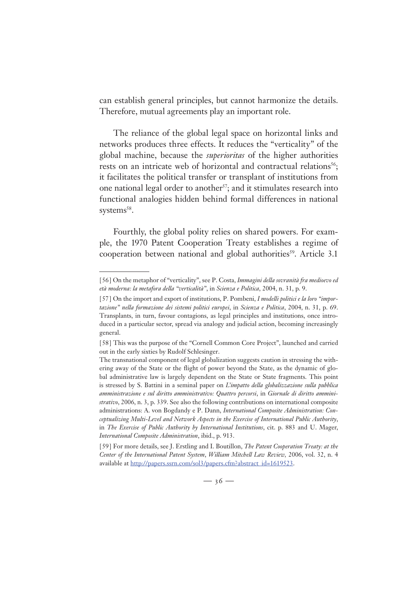can establish general principles, but cannot harmonize the details. Therefore, mutual agreements play an important role.

The reliance of the global legal space on horizontal links and networks produces three effects. It reduces the "verticality" of the global machine, because the *superioritas* of the higher authorities rests on an intricate web of horizontal and contractual relations<sup>56</sup>; it facilitates the political transfer or transplant of institutions from one national legal order to another<sup>57</sup>; and it stimulates research into functional analogies hidden behind formal differences in national systems<sup>58</sup>.

Fourthly, the global polity relies on shared powers. For example, the 1970 Patent Cooperation Treaty establishes a regime of cooperation between national and global authorities<sup>59</sup>. Article 3.1

<sup>[ 56 ]</sup> On the metaphor of "verticality", see P. Costa, *Immagini della sovranità fra medioevo ed età moderna: la metafora della "verticalità"*, in *Scienza e Politica*, 2004, n. 31, p. 9.

<sup>[ 57 ]</sup> On the import and export of institutions, P. Pombeni, *I modelli politici e la loro "importazione" nella formazione dei sistemi politici europei*, in *Scienza e Politica*, 2004, n. 31, p. 69. Transplants, in turn, favour contagions, as legal principles and institutions, once introduced in a particular sector, spread via analogy and judicial action, becoming increasingly general.

<sup>[ 58 ]</sup> This was the purpose of the "Cornell Common Core Project", launched and carried out in the early sixties by Rudolf Schlesinger.

The transnational component of legal globalization suggests caution in stressing the withering away of the State or the flight of power beyond the State, as the dynamic of global administrative law is largely dependent on the State or State fragments. This point is stressed by S. Battini in a seminal paper on *L'impatto della globalizzazione sulla pubblica amministrazione e sul diritto amministrativo: Quattro percorsi*, in *Giornale di diritto amministrativo*, 2006, n. 3, p. 339. See also the following contributions on international composite administrations: A. von Bogdandy e P. Dann, *International Composite Administration: Conceptualizing Multi-Level and Network Aspects in the Exercise of International Public Authority*, in *The Exercise of Public Authority by International Institutions*, cit. p. 883 and U. Mager, *International Composite Administration*, ibid., p. 913.

<sup>[ 59 ]</sup> For more details, see J. Erstling and I. Boutillon, *The Patent Cooperation Treaty: at the Center of the International Patent System*, *William Mitchell Law Review,* 2006, vol. 32, n. 4 available at http://papers.ssrn.com/sol3/papers.cfm?abstract\_id=1619523.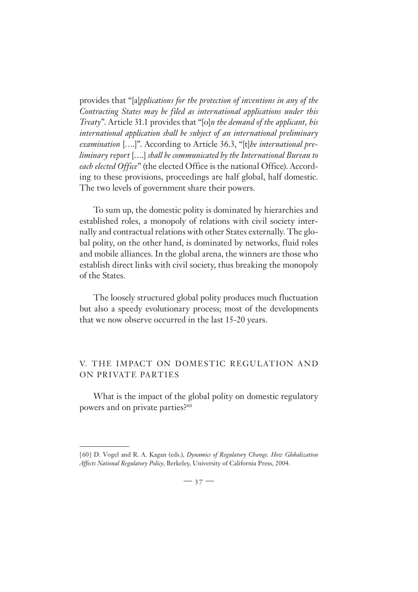provides that "[a]*pplications for the protection of inventions in any of the Contracting States may be filed as international applications under this Treaty*". Article 31.1 provides that "[o]*n the demand of the applicant, his international application shall be subject of an international preliminary examination* [….]". According to Article 36.3, "[t]*he international preliminary report* [….] *shall be communicated by the International Bureau to each elected Office*" (the elected Office is the national Office). According to these provisions, proceedings are half global, half domestic. The two levels of government share their powers.

To sum up, the domestic polity is dominated by hierarchies and established roles, a monopoly of relations with civil society internally and contractual relations with other States externally. The global polity, on the other hand, is dominated by networks, fluid roles and mobile alliances. In the global arena, the winners are those who establish direct links with civil society, thus breaking the monopoly of the States.

The loosely structured global polity produces much fluctuation but also a speedy evolutionary process; most of the developments that we now observe occurred in the last 15-20 years.

## V. THE IMPACT ON DOMESTIC REGULATION AND ON PRIVATE PARTIES

What is the impact of the global polity on domestic regulatory powers and on private parties?<sup>60</sup>

<sup>[ 60 ]</sup> D. Vogel and R. A. Kagan (eds.), *Dynamics of Regulatory Change. How Globalization Affects National Regulatory Policy*, Berkeley, University of California Press, 2004.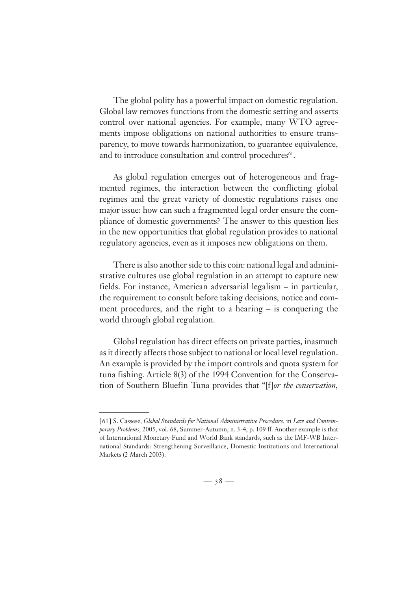The global polity has a powerful impact on domestic regulation. Global law removes functions from the domestic setting and asserts control over national agencies. For example, many WTO agreements impose obligations on national authorities to ensure transparency, to move towards harmonization, to guarantee equivalence, and to introduce consultation and control procedures<sup>61</sup>.

As global regulation emerges out of heterogeneous and fragmented regimes, the interaction between the conflicting global regimes and the great variety of domestic regulations raises one major issue: how can such a fragmented legal order ensure the compliance of domestic governments? The answer to this question lies in the new opportunities that global regulation provides to national regulatory agencies, even as it imposes new obligations on them.

There is also another side to this coin: national legal and administrative cultures use global regulation in an attempt to capture new fields. For instance, American adversarial legalism – in particular, the requirement to consult before taking decisions, notice and comment procedures, and the right to a hearing – is conquering the world through global regulation.

Global regulation has direct effects on private parties, inasmuch as it directly affects those subject to national or local level regulation. An example is provided by the import controls and quota system for tuna fishing. Article 8(3) of the 1994 Convention for the Conservation of Southern Bluefin Tuna provides that "[f]*or the conservation,* 

<sup>[ 61 ]</sup> S. Cassese, *Global Standards for National Administrative Procedure*, in *Law and Contemporary Problems*, 2005, vol. 68, Summer-Autumn, n. 3-4, p. 109 ff. Another example is that of International Monetary Fund and World Bank standards, such as the IMF-WB International Standards: Strengthening Surveillance, Domestic Institutions and International Markets (2 March 2003).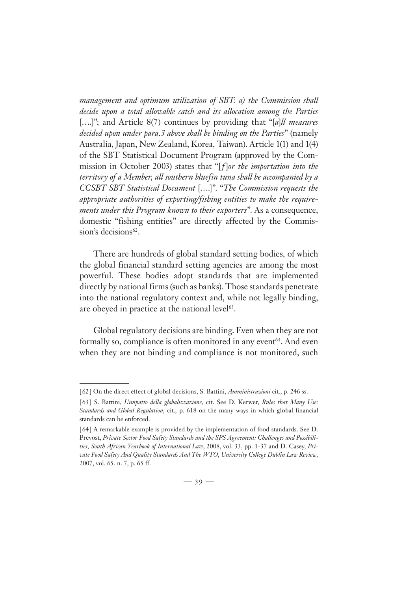*management and optimum utilization of SBT: a) the Commission shall decide upon a total allowable catch and its allocation among the Parties* [….]"; and Article 8(7) continues by providing that "[*a*]*ll measures decided upon under para.3 above shall be binding on the Parties*" (namely Australia, Japan, New Zealand, Korea, Taiwan). Article 1(1) and 1(4) of the SBT Statistical Document Program (approved by the Commission in October 2003) states that "[*f*]*or the importation into the territory of a Member, all southern bluefin tuna shall be accompanied by a CCSBT SBT Statistical Document* [….]". "*The Commission requests the appropriate authorities of exporting/fishing entities to make the requirements under this Program known to their exporters*". As a consequence, domestic "fishing entities" are directly affected by the Commission's decisions<sup>62</sup>.

There are hundreds of global standard setting bodies, of which the global financial standard setting agencies are among the most powerful. These bodies adopt standards that are implemented directly by national firms (such as banks). Those standards penetrate into the national regulatory context and, while not legally binding, are obeyed in practice at the national level<sup>63</sup>.

Global regulatory decisions are binding. Even when they are not formally so, compliance is often monitored in any event<sup>64</sup>. And even when they are not binding and compliance is not monitored, such

<sup>[ 62 ]</sup> On the direct effect of global decisions, S. Battini, *Amministrazioni* cit., p. 246 ss.

<sup>[ 63 ]</sup> S. Battini, *L'impatto della globalizzazione*, cit. See D. Kerwer, *Rules that Many Use: Standards and Global Regulation,* cit.*,* p. 618 on the many ways in which global financial standards can be enforced.

<sup>[64]</sup> A remarkable example is provided by the implementation of food standards. See D. Prevost, *Private Sector Food Safety Standards and the SPS Agreement: Challenges and Possibilities*, *South African Yearbook of International Law*, 2008, vol. 33, pp. 1-37 and D. Casey, *Private Food Safety And Quality Standards And The WTO*, *University College Dublin Law Review,* 2007, vol. 65. n. 7, p. 65 ff.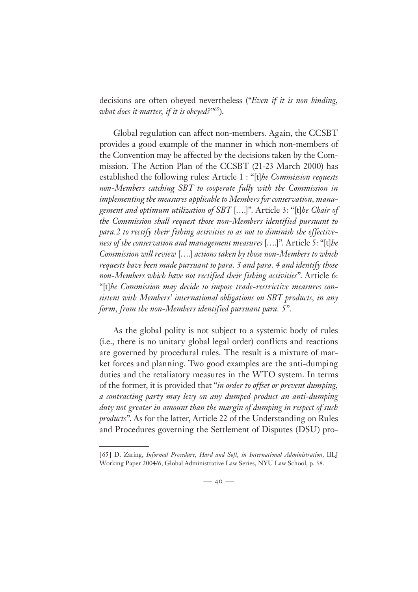decisions are often obeyed nevertheless ("*Even if it is non binding, what does it matter, if it is obeyed?*"65).

Global regulation can affect non-members. Again, the CCSBT provides a good example of the manner in which non-members of the Convention may be affected by the decisions taken by the Commission. The Action Plan of the CCSBT (21-23 March 2000) has established the following rules: Article 1 : "[t]*he Commission requests non-Members catching SBT to cooperate fully with the Commission in implementing the measures applicable to Members for conservation, management and optimum utilization of SBT* [….]". Article 3: "[t]*he Chair of the Commission shall request those non-Members identified pursuant to para.2 to rectify their fishing activities so as not to diminish the effectiveness of the conservation and management measures* [….]". Article 5: "[t]*he Commission will review* [….] *actions taken by those non-Members to which requests have been made pursuant to para. 3 and para. 4 and identify those non-Members which have not rectified their fishing activities*". Article 6: "[t]*he Commission may decide to impose trade-restrictive measures consistent with Members' international obligations on SBT products, in any form, from the non-Members identified pursuant para. 5*".

As the global polity is not subject to a systemic body of rules (i.e., there is no unitary global legal order) conflicts and reactions are governed by procedural rules. The result is a mixture of market forces and planning. Two good examples are the anti-dumping duties and the retaliatory measures in the WTO system. In terms of the former, it is provided that "*in order to offset or prevent dumping, a contracting party may levy on any dumped product an anti-dumping duty not greater in amount than the margin of dumping in respect of such products*". As for the latter, Article 22 of the Understanding on Rules and Procedures governing the Settlement of Disputes (DSU) pro-

<sup>[ 65 ]</sup> D. Zaring, *Informal Procedure, Hard and Soft, in International Administration*, IILJ Working Paper 2004/6, Global Administrative Law Series, NYU Law School, p. 38.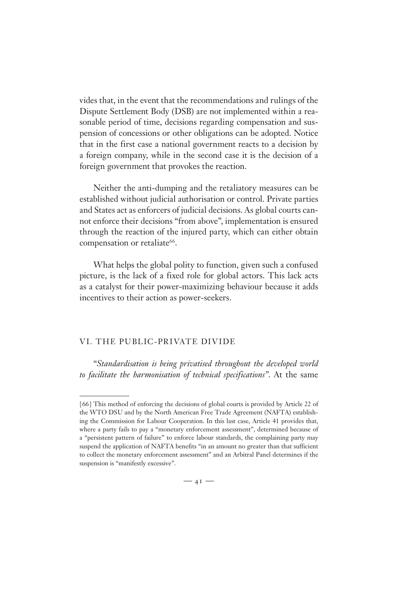vides that, in the event that the recommendations and rulings of the Dispute Settlement Body (DSB) are not implemented within a reasonable period of time, decisions regarding compensation and suspension of concessions or other obligations can be adopted. Notice that in the first case a national government reacts to a decision by a foreign company, while in the second case it is the decision of a foreign government that provokes the reaction.

Neither the anti-dumping and the retaliatory measures can be established without judicial authorisation or control. Private parties and States act as enforcers of judicial decisions. As global courts cannot enforce their decisions "from above", implementation is ensured through the reaction of the injured party, which can either obtain compensation or retaliate<sup>66</sup>.

What helps the global polity to function, given such a confused picture, is the lack of a fixed role for global actors. This lack acts as a catalyst for their power-maximizing behaviour because it adds incentives to their action as power-seekers.

### VI. THE PUBLIC-PRIVATE DIVIDE

"*Standardisation is being privatised throughout the developed world to facilitate the harmonisation of technical specifications"*. At the same

<sup>[66]</sup> This method of enforcing the decisions of global courts is provided by Article 22 of the WTO DSU and by the North American Free Trade Agreement (NAFTA) establishing the Commission for Labour Cooperation. In this last case, Article 41 provides that, where a party fails to pay a "monetary enforcement assessment", determined because of a "persistent pattern of failure" to enforce labour standards, the complaining party may suspend the application of NAFTA benefits "in an amount no greater than that sufficient to collect the monetary enforcement assessment" and an Arbitral Panel determines if the suspension is "manifestly excessive".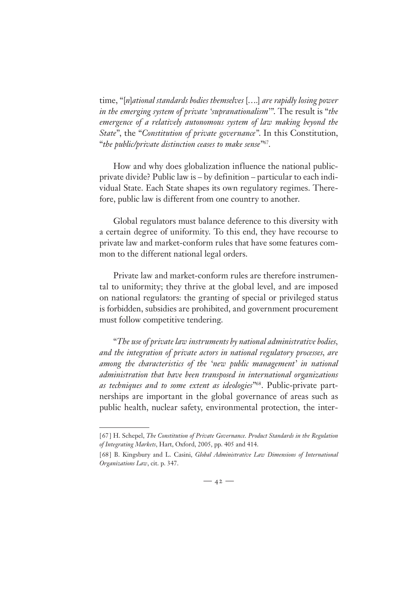time, "[*n*]*ational standards bodies themselves* [….] *are rapidly losing power in the emerging system of private 'supranationalism'"*. The result is "*the emergence of a relatively autonomous system of law making beyond the State*", the "*Constitution of private governance"*. In this Constitution, "*the public/private distinction ceases to make sense*"67.

How and why does globalization influence the national publicprivate divide? Public law is – by definition – particular to each individual State. Each State shapes its own regulatory regimes. Therefore, public law is different from one country to another.

Global regulators must balance deference to this diversity with a certain degree of uniformity. To this end, they have recourse to private law and market-conform rules that have some features common to the different national legal orders.

Private law and market-conform rules are therefore instrumental to uniformity; they thrive at the global level, and are imposed on national regulators: the granting of special or privileged status is forbidden, subsidies are prohibited, and government procurement must follow competitive tendering.

"The use of private law instruments by national administrative bodies, *and the integration of private actors in national regulatory processes, are among the characteristics of the 'new public management' in national administration that have been transposed in international organizations as techniques and to some extent as ideologies*"68. Public-private partnerships are important in the global governance of areas such as public health, nuclear safety, environmental protection, the inter-

<sup>[ 67 ]</sup> H. Schepel, *The Constitution of Private Governance. Product Standards in the Regulation of Integrating Markets*, Hart, Oxford, 2005, pp. 405 and 414.

<sup>[ 68 ]</sup> B. Kingsbury and L. Casini, *Global Administrative Law Dimensions of International Organizations Law*, cit. p. 347.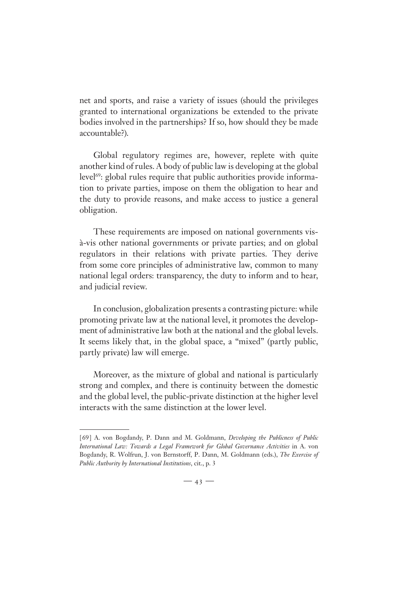net and sports, and raise a variety of issues (should the privileges granted to international organizations be extended to the private bodies involved in the partnerships? If so, how should they be made accountable?).

Global regulatory regimes are, however, replete with quite another kind of rules. A body of public law is developing at the global level<sup>69</sup>: global rules require that public authorities provide information to private parties, impose on them the obligation to hear and the duty to provide reasons, and make access to justice a general obligation.

These requirements are imposed on national governments visà-vis other national governments or private parties; and on global regulators in their relations with private parties. They derive from some core principles of administrative law, common to many national legal orders: transparency, the duty to inform and to hear, and judicial review.

In conclusion, globalization presents a contrasting picture: while promoting private law at the national level, it promotes the development of administrative law both at the national and the global levels. It seems likely that, in the global space, a "mixed" (partly public, partly private) law will emerge.

Moreover, as the mixture of global and national is particularly strong and complex, and there is continuity between the domestic and the global level, the public-private distinction at the higher level interacts with the same distinction at the lower level.

<sup>[ 69 ]</sup> A. von Bogdandy, P. Dann and M. Goldmann, *Developing the Publicness of Public International Law: Towards a Legal Framework for Global Governance Activities* in A. von Bogdandy, R. Wolfrun, J. von Bernstorff, P. Dann, M. Goldmann (eds.), *The Exercise of Public Authority by International Institutions*, cit., p. 3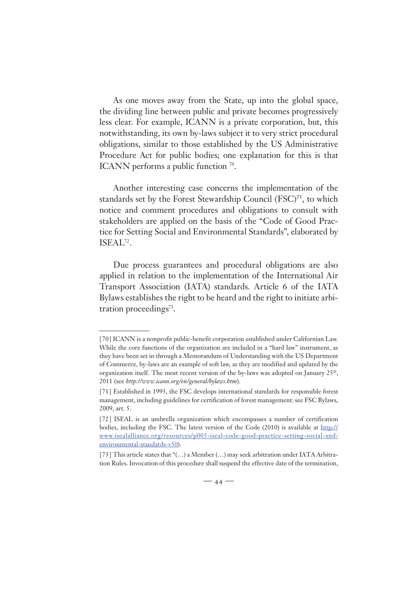As one moves away from the State, up into the global space, the dividing line between public and private becomes progressively less clear. For example, ICANN is a private corporation, but, this notwithstanding, its own by-laws subject it to very strict procedural obligations, similar to those established by the US Administrative Procedure Act for public bodies; one explanation for this is that ICANN performs a public function  $\frac{70}{2}$ .

Another interesting case concerns the implementation of the standards set by the Forest Stewardship Council (FSC)<sup>71</sup>, to which notice and comment procedures and obligations to consult with stakeholders are applied on the basis of the "Code of Good Practice for Setting Social and Environmental Standards", elaborated by ISEAL72.

Due process guarantees and procedural obligations are also applied in relation to the implementation of the International Air Transport Association (IATA) standards. Article 6 of the IATA Bylaws establishes the right to be heard and the right to initiate arbitration proceedings $73$ .

<sup>[ 70 ]</sup> ICANN is a nonprofit public-benefit corporation established under Californian Law. While the core functions of the organization are included in a "hard law" instrument, as they have been set in through a Memorandum of Understanding with the US Department of Commerce, by-laws are an example of soft law, as they are modified and updated by the organization itself. The most recent version of the by-laws was adopted on January  $25<sup>th</sup>$ , 2011 (see *http://www.icann.org/en/general/bylaws.htm*).

<sup>[ 71 ]</sup> Established in 1993, the FSC develops international standards for responsible forest management, including guidelines for certification of forest management: see FSC Bylaws, 2009, art. 5.

<sup>[ 72 ]</sup> ISEAL is an umbrella organization which encompasses a number of certification bodies, including the FSC. The latest version of the Code (2010) is available at http:// www.isealalliance.org/resources/p005-iseal-code-good-practice-setting-social-andenvironmental-standards-v50).

<sup>[ 73 ]</sup> This article states that "(…) a Member (…) may seek arbitration under IATA Arbitration Rules. Invocation of this procedure shall suspend the effective date of the termination,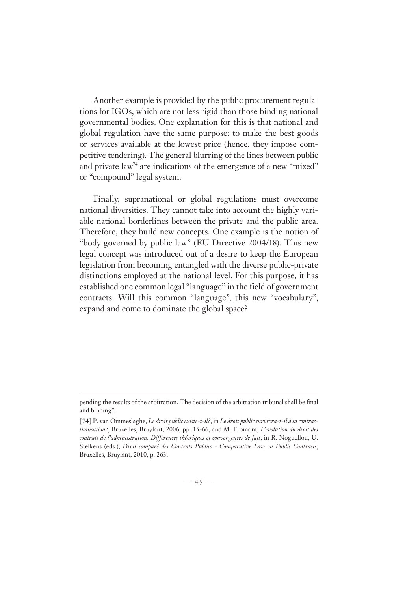Another example is provided by the public procurement regulations for IGOs, which are not less rigid than those binding national governmental bodies. One explanation for this is that national and global regulation have the same purpose: to make the best goods or services available at the lowest price (hence, they impose competitive tendering). The general blurring of the lines between public and private law<sup>74</sup> are indications of the emergence of a new "mixed" or "compound" legal system.

Finally, supranational or global regulations must overcome national diversities. They cannot take into account the highly variable national borderlines between the private and the public area. Therefore, they build new concepts. One example is the notion of "body governed by public law" (EU Directive 2004/18). This new legal concept was introduced out of a desire to keep the European legislation from becoming entangled with the diverse public-private distinctions employed at the national level. For this purpose, it has established one common legal "language" in the field of government contracts. Will this common "language", this new "vocabulary", expand and come to dominate the global space?

pending the results of the arbitration. The decision of the arbitration tribunal shall be final and binding".

<sup>[ 74 ]</sup> P. van Ommeslaghe, *Le droit public existe-t-il?*, in *Le droit public survivra-t-il à sa contractualisation?*, Bruxelles, Bruylant, 2006, pp. 15-66, and M. Fromont, *L'evolution du droit des contrats de l'administration. Differences théoriques et convergences de fait*, in R. Noguellou, U. Stelkens (eds.), *Droit comparé des Contrats Publics - Comparative Law on Public Contracts*, Bruxelles, Bruylant, 2010, p. 263.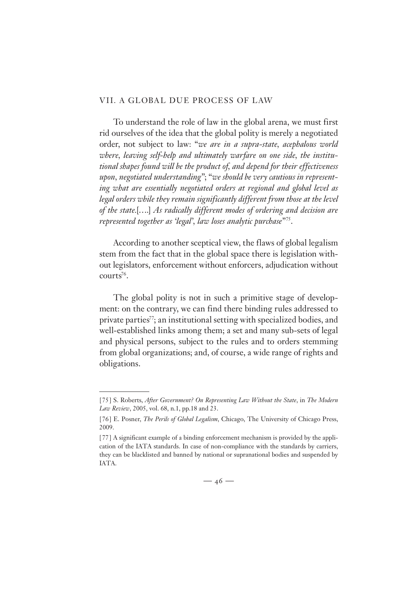#### VII. A GLOBAL DUE PROCESS OF LAW

To understand the role of law in the global arena, we must first rid ourselves of the idea that the global polity is merely a negotiated order, not subject to law: "*we are in a supra-state, acephalous world where, leaving self-help and ultimately warfare on one side, the institutional shapes found will be the product of, and depend for their effectiveness upon, negotiated understanding*"; "*we should be very cautious in representing what are essentially negotiated orders at regional and global level as legal orders while they remain significantly different from those at the level of the state.*[….] *As radically different modes of ordering and decision are represented together as 'legal', law loses analytic purchase*"75.

According to another sceptical view, the flaws of global legalism stem from the fact that in the global space there is legislation without legislators, enforcement without enforcers, adjudication without courts<sup>76</sup>.

The global polity is not in such a primitive stage of development: on the contrary, we can find there binding rules addressed to private parties<sup>77</sup>; an institutional setting with specialized bodies, and well-established links among them; a set and many sub-sets of legal and physical persons, subject to the rules and to orders stemming from global organizations; and, of course, a wide range of rights and obligations.

<sup>[ 75 ]</sup> S. Roberts, *After Government? On Representing Law Without the State*, in *The Modern Law Review*, 2005, vol. 68, n.1, pp.18 and 23.

<sup>[ 76 ]</sup> E. Posner, *The Perils of Global Legalism*, Chicago, The University of Chicago Press, 2009.

<sup>[77]</sup> A significant example of a binding enforcement mechanism is provided by the application of the IATA standards. In case of non-compliance with the standards by carriers, they can be blacklisted and banned by national or supranational bodies and suspended by IATA.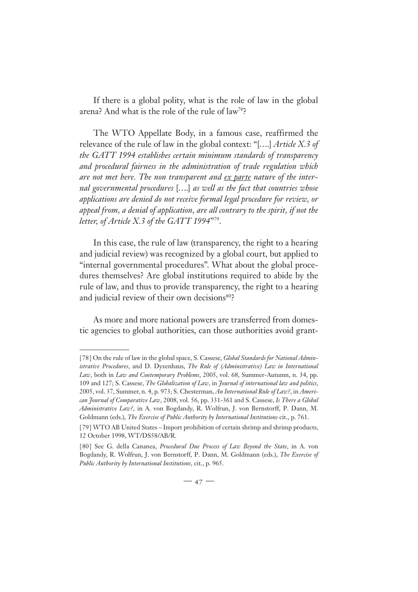If there is a global polity, what is the role of law in the global arena? And what is the role of the rule of law<sup>78</sup>?

The WTO Appellate Body, in a famous case, reaffirmed the relevance of the rule of law in the global context: "[….] *Article X.3 of the GATT 1994 establishes certain minimum standards of transparency and procedural fairness in the administration of trade regulation which are not met here. The non transparent and ex parte nature of the internal governmental procedures* [….] *as well as the fact that countries whose applications are denied do not receive formal legal procedure for review, or appeal from, a denial of application, are all contrary to the spirit, if not the letter, of Article X.3 of the GATT 1994*"79.

In this case, the rule of law (transparency, the right to a hearing and judicial review) was recognized by a global court, but applied to "internal governmental procedures". What about the global procedures themselves? Are global institutions required to abide by the rule of law, and thus to provide transparency, the right to a hearing and judicial review of their own decisions<sup>80</sup>?

As more and more national powers are transferred from domestic agencies to global authorities, can those authorities avoid grant-

<sup>[ 78 ]</sup> On the rule of law in the global space, S. Cassese, *Global Standards for National Administrative Procedures*, and D. Dyzenhaus, *The Rule of (Administrative) Law in International Law*, both in *Law and Contemporary Problems*, 2005, vol. 68, Summer-Autumn, n. 34, pp. 109 and 127; S. Cassese, *The Globalization of Law*, in *Journal of international law and politics*, 2005, vol. 37, Summer, n. 4, p. 973; S. Chesterman, *An International Rule of Law?*, in *American Journal of Comparative Law*, 2008, vol. 56, pp. 331-361 and S. Cassese, *Is There a Global Administrative Law?*, in A. von Bogdandy, R. Wolfrun, J. von Bernstorff, P. Dann, M. Goldmann (eds.), *The Exercise of Public Authority by International Institutions* cit., p. 761.

<sup>[79]</sup> WTO AB United States – Import prohibition of certain shrimp and shrimp products, 12 October 1998, WT/DS58/AB/R.

<sup>[ 80 ]</sup> See G. della Cananea, *Procedural Due Process of Law Beyond the State*, in A. von Bogdandy, R. Wolfrun, J. von Bernstorff, P. Dann, M. Goldmann (eds.), *The Exercise of Public Authority by International Institutions*, cit., p. 965.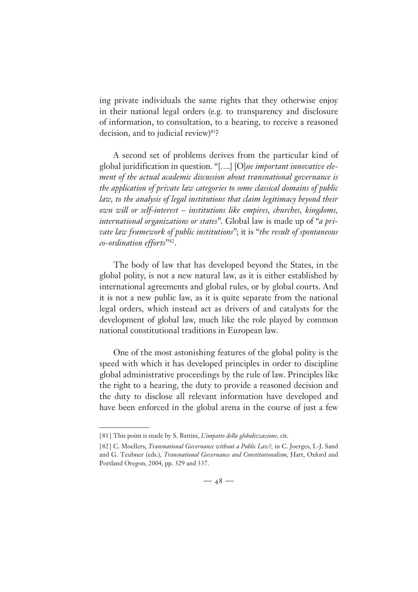ing private individuals the same rights that they otherwise enjoy in their national legal orders (e.g. to transparency and disclosure of information, to consultation, to a hearing, to receive a reasoned decision, and to judicial review) $81$ ?

A second set of problems derives from the particular kind of global juridification in question. "[….] [O]*ne important innovative element of the actual academic discussion about transnational governance is the application of private law categories to some classical domains of public law, to the analysis of legal institutions that claim legitimacy beyond their own will or self-interest – institutions like empires, churches, kingdoms, international organizations or states*". Global law is made up of "*a private law framework of public institutions*"; it is "*the result of spontaneous co-ordination efforts*"82.

The body of law that has developed beyond the States, in the global polity, is not a new natural law, as it is either established by international agreements and global rules, or by global courts. And it is not a new public law, as it is quite separate from the national legal orders, which instead act as drivers of and catalysts for the development of global law, much like the role played by common national constitutional traditions in European law.

One of the most astonishing features of the global polity is the speed with which it has developed principles in order to discipline global administrative proceedings by the rule of law. Principles like the right to a hearing, the duty to provide a reasoned decision and the duty to disclose all relevant information have developed and have been enforced in the global arena in the course of just a few

<sup>[ 81 ]</sup> This point is made by S. Battini, *L'impatto della globalizzazione*, cit.

<sup>[ 82 ]</sup> C. Moellers, *Transnational Governance without a Public Law?,* in C. Joerges, I.-J. Sand and G. Teubner (eds.), *Transnational Governance and Constitutionalism*, Hart, Oxford and Portland Oregon, 2004, pp. 329 and 337.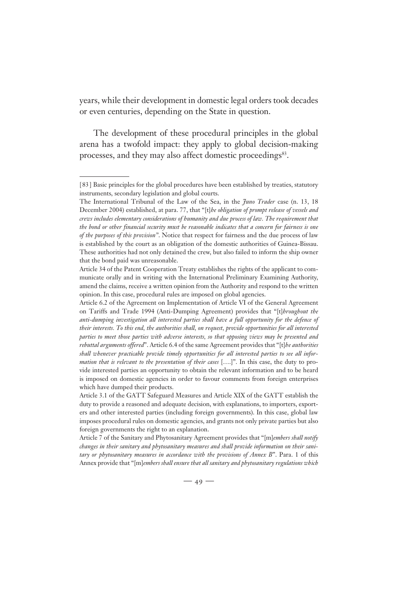years, while their development in domestic legal orders took decades or even centuries, depending on the State in question.

The development of these procedural principles in the global arena has a twofold impact: they apply to global decision-making processes, and they may also affect domestic proceedings<sup>83</sup>.

<sup>[ 83 ]</sup> Basic principles for the global procedures have been established by treaties, statutory instruments, secondary legislation and global courts.

The International Tribunal of the Law of the Sea, in the *Juno Trader* case (n. 13, 18 December 2004) established, at para. 77, that "[t]*he obligation of prompt release of vessels and crews includes elementary considerations of humanity and due process of law. The requirement that the bond or other financial security must be reasonable indicates that a concern for fairness is one of the purposes of this provision"*. Notice that respect for fairness and the due process of law is established by the court as an obligation of the domestic authorities of Guinea-Bissau. These authorities had not only detained the crew, but also failed to inform the ship owner that the bond paid was unreasonable.

Article 34 of the Patent Cooperation Treaty establishes the rights of the applicant to communicate orally and in writing with the International Preliminary Examining Authority, amend the claims, receive a written opinion from the Authority and respond to the written opinion. In this case, procedural rules are imposed on global agencies.

Article 6.2 of the Agreement on Implementation of Article VI of the General Agreement on Tariffs and Trade 1994 (Anti-Dumping Agreement) provides that "[t]*hroughout the anti-dumping investigation all interested parties shall have a full opportunity for the defence of their interests. To this end, the authorities shall, on request, provide opportunities for all interested parties to meet those parties with adverse interests, so that opposing views may be presented and rebuttal arguments offered*". Article 6.4 of the same Agreement provides that "[t]*he authorities shall whenever practicable provide timely opportunities for all interested parties to see all information that is relevant to the presentation of their cases* [….]". In this case, the duty to provide interested parties an opportunity to obtain the relevant information and to be heard is imposed on domestic agencies in order to favour comments from foreign enterprises which have dumped their products.

Article 3.1 of the GATT Safeguard Measures and Article XIX of the GATT establish the duty to provide a reasoned and adequate decision, with explanations, to importers, exporters and other interested parties (including foreign governments). In this case, global law imposes procedural rules on domestic agencies, and grants not only private parties but also foreign governments the right to an explanation.

Article 7 of the Sanitary and Phytosanitary Agreement provides that "[m]*embers shall notify changes in their sanitary and phytosanitary measures and shall provide information on their sanitary or phytosanitary measures in accordance with the provisions of Annex B*". Para. 1 of this Annex provide that "[m]*embers shall ensure that all sanitary and phytosanitary regulations which*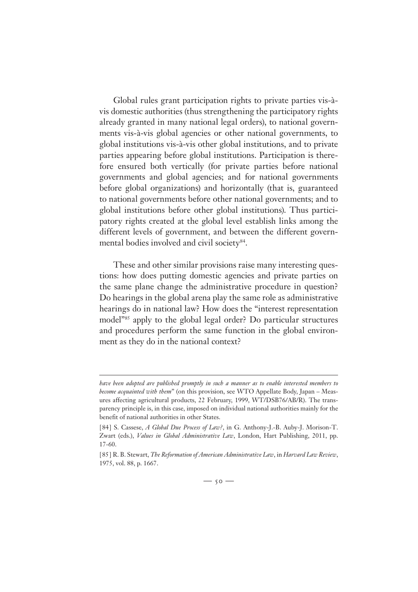Global rules grant participation rights to private parties vis-àvis domestic authorities (thus strengthening the participatory rights already granted in many national legal orders), to national governments vis-à-vis global agencies or other national governments, to global institutions vis-à-vis other global institutions, and to private parties appearing before global institutions. Participation is therefore ensured both vertically (for private parties before national governments and global agencies; and for national governments before global organizations) and horizontally (that is, guaranteed to national governments before other national governments; and to global institutions before other global institutions). Thus participatory rights created at the global level establish links among the different levels of government, and between the different governmental bodies involved and civil society<sup>84</sup>.

These and other similar provisions raise many interesting questions: how does putting domestic agencies and private parties on the same plane change the administrative procedure in question? Do hearings in the global arena play the same role as administrative hearings do in national law? How does the "interest representation model"85 apply to the global legal order? Do particular structures and procedures perform the same function in the global environment as they do in the national context?

*have been adopted are published promptly in such a manner as to enable interested members to become acquainted with them*" (on this provision, see WTO Appellate Body, Japan – Measures affecting agricultural products, 22 February, 1999, WT/DSB76/AB/R). The transparency principle is, in this case, imposed on individual national authorities mainly for the benefit of national authorities in other States.

<sup>[ 84 ]</sup> S. Cassese, *A Global Due Process of Law?*, in G. Anthony-J.-B. Auby-J. Morison-T. Zwart (eds.), *Values in Global Administrative Law*, London, Hart Publishing, 2011, pp. 17-60.

<sup>[ 85 ]</sup> R. B. Stewart, *The Reformation of American Administrative Law*, in *Harvard Law Review*, 1975, vol. 88, p. 1667.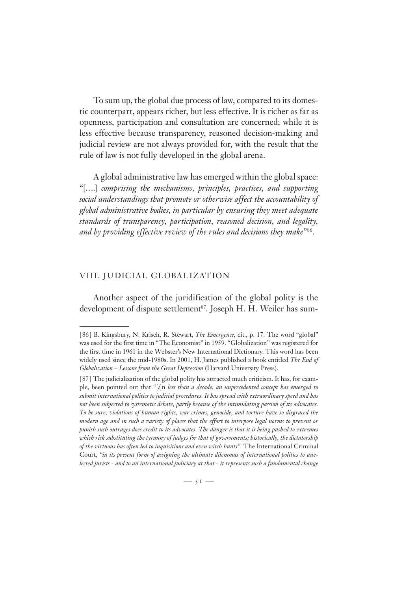To sum up, the global due process of law, compared to its domestic counterpart, appears richer, but less effective. It is richer as far as openness, participation and consultation are concerned; while it is less effective because transparency, reasoned decision-making and judicial review are not always provided for, with the result that the rule of law is not fully developed in the global arena.

A global administrative law has emerged within the global space: "[….] *comprising the mechanisms, principles, practices, and supporting social understandings that promote or otherwise affect the accountability of global administrative bodies, in particular by ensuring they meet adequate standards of transparency, participation, reasoned decision, and legality, and by providing effective review of the rules and decisions they make*"86.

### VIII. JUDICIAL GLOBALIZATION

Another aspect of the juridification of the global polity is the development of dispute settlement<sup>87</sup>. Joseph H. H. Weiler has sum-

<sup>[ 86 ]</sup> B. Kingsbury, N. Krisch, R. Stewart, *The Emergence,* cit., p. 17. The word "global" was used for the first time in "The Economist" in 1959. "Globalization" was registered for the first time in 1961 in the Webster's New International Dictionary. This word has been widely used since the mid-1980s. In 2001, H. James published a book entitled *The End of Globalization – Lessons from the Great Depression* (Harvard University Press).

<sup>[87]</sup> The judicialization of the global polity has attracted much criticism. It has, for example, been pointed out that "[*i*]n *less than a decade, an unprecedented concept has emerged to submit international politics to judicial procedures. It has spread with extraordinary speed and has not been subjected to systematic debate, partly because of the intimidating passion of its advocates. To be sure, viola tions of human rights, war crimes, genocide, and torture have so disgraced the modern age and in such a variety of places that the effort to interpose legal norms to prevent or punish such outrages does credit to its advocates. The danger is that it is being pushed to extremes*  which risk substituting the tyranny of judges for that of governments; historically, the dictatorship *of the virtuous has often led to inquisitions and even witch hunts".* The International Criminal Court*, "in its present form of assigning the ultimate dilemmas of international politics to unelected jurists - and to an international judiciary at that - it represents such a fundamental change*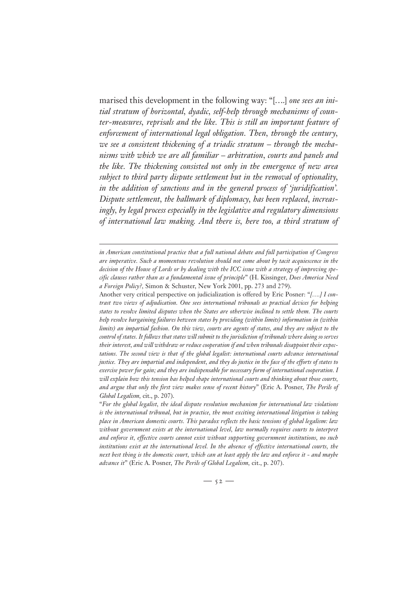marised this development in the following way: "[….] *one sees an initial stratum of horizontal, dyadic, self-help through mechanisms of counter-measures, reprisals and the like. This is still an important feature of enforcement of international legal obligation. Then, through the century, we see a consistent thickening of a triadic stratum – through the mechanisms with which we are all familiar – arbitration, courts and panels and the like. The thickening consisted not only in the emergence of new area subject to third party dispute settlement but in the removal of optionality, in the addition of sanctions and in the general process of 'juridification'. Dispute settlement, the hallmark of diplomacy, has been replaced, increasingly, by legal process especially in the legislative and regulatory dimensions of international law making. And there is, here too, a third stratum of* 

Another very critical perspective on judicialization is offered by Eric Posner: "*[….] I contrast two views of adjudication. One sees international tribunals as practical devices for helping states to resolve limited disputes when the States are otherwise inclined to settle them. The courts help resolve bargaining failures between states by providing (within limits) information in (within limits*) an impartial fashion. On this view, courts are agents of states, and they are subject to the *control of states. It follows that states will submit to the jurisdiction of tribunals where doing so serves their interest, and will withdraw or reduce cooperation if and when tribunals disappoint their expectations. The second view is that of the global legalist: international courts advance international justice. They are impartial and independent, and they do justice in the face of the efforts of states to exercise power for gain; and they are indispensable for necessary form of international cooperation. I will explain how this tension has helped shape international courts and thinking about those courts, and argue that only the first view makes sense of recent history*" (Eric A. Posner, *The Perils of Global Legalism,* cit., p. 207).

*in American constitutional practice that a full national debate and full participation of Congress are imperative. Such a momentous revolution should not come about by tacit acquiescence in the decision of the House of Lords or by dealing with the ICC issue with a strategy of improving specific clauses rather than as a fundamental issue of principle*" (H. Kissinger, *Does America Need a Foreign Policy?,* Simon & Schuster, New York 2001, pp. 273 and 279).

<sup>&</sup>quot;*For the global legalist, the ideal dispute resolution mechanism for international law violations is the international tribunal, but in practice, the most exciting international litigation is taking place in American domestic courts. This paradox reflects the basic tensions of global legalism: law without government exists at the international level, law normally requires courts to interpret and enforce it, effective courts cannot exist without supporting government institutions, no such institutions exist at the international level. In the absence of effective international courts, the next best thing is the domestic court, which can at least apply the law and enforce it - and maybe advance it*" (Eric A. Posner, *The Perils of Global Legalism,* cit., p. 207).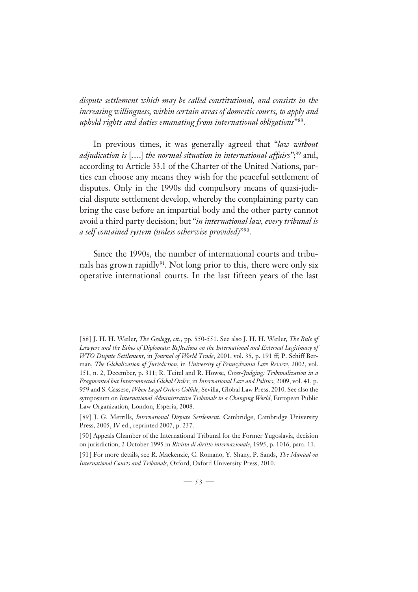*dispute settlement which may be called constitutional, and consists in the increasing willingness, within certain areas of domestic courts, to apply and uphold rights and duties emanating from international obligations*"88.

In previous times, it was generally agreed that "*law without adjudication is* [….] *the normal situation in international affairs*";89 and, according to Article 33.1 of the Charter of the United Nations, parties can choose any means they wish for the peaceful settlement of disputes. Only in the 1990s did compulsory means of quasi-judicial dispute settlement develop, whereby the complaining party can bring the case before an impartial body and the other party cannot avoid a third party decision; but "*in international law, every tribunal is a self contained system (unless otherwise provided)*"90.

Since the 1990s, the number of international courts and tribunals has grown rapidly<sup>91</sup>. Not long prior to this, there were only six operative international courts. In the last fifteen years of the last

<sup>[ 88 ]</sup> J. H. H. Weiler, *The Geology, cit.*, pp. 550-551. See also J. H. H. Weiler, *The Rule of Lawyers and the Ethos of Diplomats: Reflections on the International and External Legitimacy of WTO Dispute Settlement*, in *Journal of World Trade*, 2001, vol. 35, p. 191 ff; P. Schiff Berman, *The Globalization of Jurisdiction*, in *University of Pennsylvania Law Review*, 2002, vol. 151, n. 2, December, p. 311; R. Teitel and R. Howse, *Cross-Judging: Tribunalization in a Fragmented but Interconnected Global Order*, in *International Law and Politics*, 2009, vol. 41, p. 959 and S. Cassese, *When Legal Orders Collide*, Sevilla, Global Law Press, 2010. See also the symposium on *International Administrative Tribunals in a Changing World*, European Public Law Organization, London, Esperia, 2008.

<sup>[ 89 ]</sup> J. G. Merrills, *International Dispute Settlement*, Cambridge, Cambridge University Press, 2005, IV ed., reprinted 2007, p. 237.

<sup>[ 90 ]</sup> Appeals Chamber of the International Tribunal for the Former Yugoslavia, decision on jurisdiction, 2 October 1995 in *Rivista di diritto internazionale*, 1995, p. 1016, para. 11.

<sup>[ 91 ]</sup> For more details, see R. Mackenzie, C. Romano, Y. Shany, P. Sands, *The Manual on International Courts and Tribunals*, Oxford, Oxford University Press, 2010.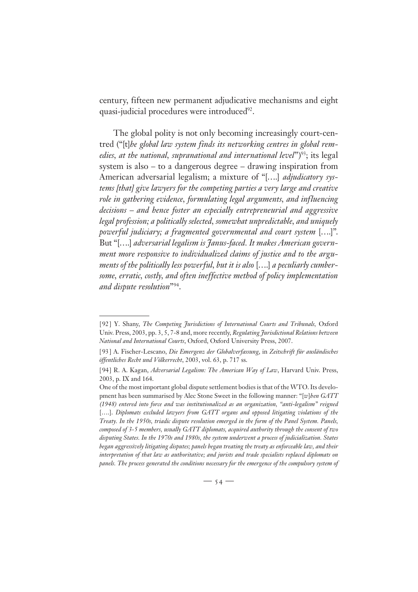century, fifteen new permanent adjudicative mechanisms and eight quasi-judicial procedures were introduced<sup>92</sup>.

The global polity is not only becoming increasingly court-centred ("[t]*he global law system finds its networking centres in global remedies, at the national, supranational and international level*")<sup>93</sup>; its legal system is also – to a dangerous degree – drawing inspiration from American adversarial legalism; a mixture of "[….] *adjudicatory systems [that] give lawyers for the competing parties a very large and creative role in gathering evidence, formulating legal arguments, and influencing decisions – and hence foster an especially entrepreneurial and aggressive legal profession; a politically selected, somewhat unpredictable, and uniquely powerful judiciary; a fragmented governmental and court system* [….]". But "[….] *adversarial legalism is Janus-faced. It makes American government more responsive to individualized claims of justice and to the arguments of the politically less powerful, but it is also* [….] *a peculiarly cumbersome, erratic, costly, and often ineffective method of policy implementation and dispute resolution*"94.

<sup>[ 92 ]</sup> Y. Shany, *The Competing Jurisdictions of International Courts and Tribunals,* Oxford Univ. Press, 2003, pp. 3, 5, 7-8 and, more recently, *Regulating Jurisdictional Relations between National and International Courts*, Oxford, Oxford University Press, 2007.

<sup>[ 93 ]</sup> A. Fischer-Lescano, *Die Emergenz der Globalverfassung*, in *Zeitschrift für ausländisches öffentliches Recht und Völkerrecht*, 2003, vol. 63, p. 717 ss.

<sup>[ 94 ]</sup> R. A. Kagan, *Adversarial Legalism: The American Way of Law*, Harvard Univ. Press, 2003, p. IX and 164.

One of the most important global dispute settlement bodies is that of the WTO. Its development has been summarised by Alec Stone Sweet in the following manner: "[*w*]*hen GATT (1948) entered into force and was institutionalized as an organization, "anti-legalism" reigned* [….]. *Diplomats excluded lawyers from GATT organs and opposed litigating violations of the Treaty. In the 1950s, triadic dispute resolution emerged in the form of the Panel System. Panels, composed of 3-5 members, usually GATT diplomats, acquired authority through the consent of two disputing States. In the 1970s and 1980s, the system underwent a process of judicialization. States began aggressively litigating disputes; panels began treating the treaty as enforceable law, and their interpretation of that law as authoritative; and jurists and trade specialists replaced diplomats on panels. The process generated the conditions necessary for the emergence of the compulsory system of*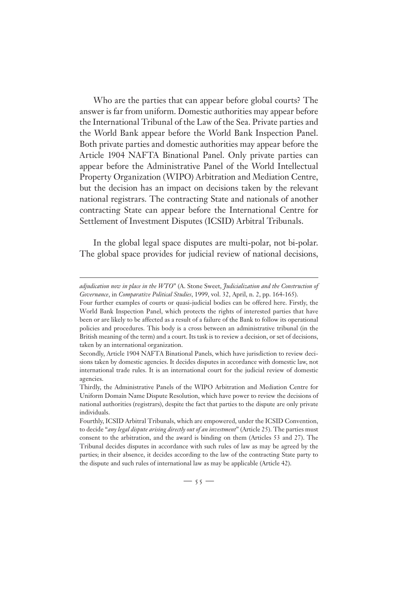Who are the parties that can appear before global courts? The answer is far from uniform. Domestic authorities may appear before the International Tribunal of the Law of the Sea. Private parties and the World Bank appear before the World Bank Inspection Panel. Both private parties and domestic authorities may appear before the Article 1904 NAFTA Binational Panel. Only private parties can appear before the Administrative Panel of the World Intellectual Property Organization (WIPO) Arbitration and Mediation Centre, but the decision has an impact on decisions taken by the relevant national registrars. The contracting State and nationals of another contracting State can appear before the International Centre for Settlement of Investment Disputes (ICSID) Arbitral Tribunals.

In the global legal space disputes are multi-polar, not bi-polar. The global space provides for judicial review of national decisions,

*adjudication now in place in the WTO*" (A. Stone Sweet, *Judicialization and the Construction of Governance*, in *Comparative Political Studies*, 1999, vol. 32, April, n. 2, pp. 164-165).

Four further examples of courts or quasi-judicial bodies can be offered here. Firstly, the World Bank Inspection Panel, which protects the rights of interested parties that have been or are likely to be affected as a result of a failure of the Bank to follow its operational policies and procedures. This body is a cross between an administrative tribunal (in the British meaning of the term) and a court. Its task is to review a decision, or set of decisions, taken by an international organization.

Secondly, Article 1904 NAFTA Binational Panels, which have jurisdiction to review decisions taken by domestic agencies. It decides disputes in accordance with domestic law, not international trade rules. It is an international court for the judicial review of domestic agencies.

Thirdly, the Administrative Panels of the WIPO Arbitration and Mediation Centre for Uniform Domain Name Dispute Resolution, which have power to review the decisions of national authorities (registrars), despite the fact that parties to the dispute are only private individuals.

Fourthly, ICSID Arbitral Tribunals, which are empowered, under the ICSID Convention, to decide "*any legal dispute arising directly out of an investment*" (Article 25). The parties must consent to the arbitration, and the award is binding on them (Articles 53 and 27). The Tribunal decides disputes in accordance with such rules of law as may be agreed by the parties; in their absence, it decides according to the law of the contracting State party to the dispute and such rules of international law as may be applicable (Article 42).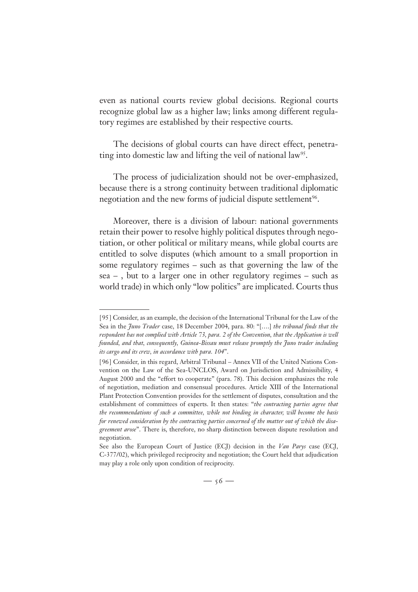even as national courts review global decisions. Regional courts re cognize global law as a higher law; links among different regulatory regimes are established by their respective courts.

The decisions of global courts can have direct effect, penetrating into domestic law and lifting the veil of national law<sup>95</sup>.

The process of judicialization should not be over-emphasized, because there is a strong continuity between traditional diplomatic negotiation and the new forms of judicial dispute settlement<sup>96</sup>.

Moreover, there is a division of labour: national governments retain their power to resolve highly political disputes through negotiation, or other political or military means, while global courts are entitled to solve disputes (which amount to a small proportion in some regulatory regimes – such as that governing the law of the sea – , but to a larger one in other regulatory regimes – such as world trade) in which only "low politics" are implicated. Courts thus

<sup>[ 95 ]</sup> Consider, as an example, the decision of the International Tribunal for the Law of the Sea in the *Juno Trader* case, 18 December 2004, para. 80: "[….] *the tribunal finds that the respondent has not complied with Article 73, para. 2 of the Convention, that the Application is well founded, and that, consequently, Guinea-Bissau must release promptly the Juno trader including its cargo and its crew, in accordance with para. 104*".

<sup>[ 96 ]</sup> Consider, in this regard, Arbitral Tribunal – Annex VII of the United Nations Convention on the Law of the Sea-UNCLOS, Award on Jurisdiction and Admissibility, 4 August 2000 and the "effort to cooperate" (para. 78). This decision emphasizes the role of negotiation, mediation and consensual procedures. Article XIII of the International Plant Protection Convention provides for the settlement of disputes, consultation and the establishment of committees of experts. It then states: "*the contracting parties agree that the recommendations of such a committee, while not binding in character, will become the basis for renewed consideration by the contracting parties concerned of the matter out of which the disagreement arose*". There is, therefore, no sharp distinction between dispute resolution and negotiation.

See also the European Court of Justice (ECJ) decision in the *Van Parys* case (ECJ, C-377/02), which privileged reciprocity and negotiation; the Court held that adjudication may play a role only upon condition of reciprocity.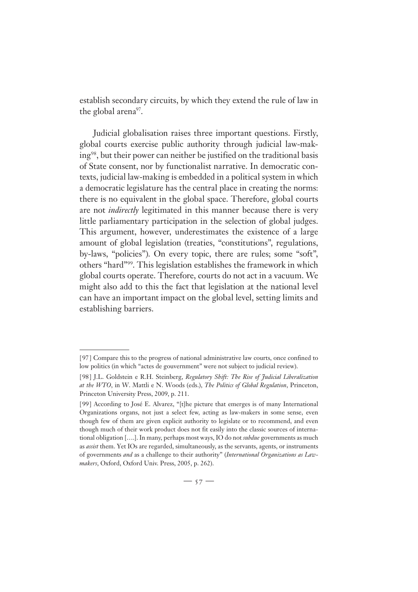establish secondary circuits, by which they extend the rule of law in the global arena<sup>97</sup>.

Judicial globalisation raises three important questions. Firstly, global courts exercise public authority through judicial law-making98, but their power can neither be justified on the traditional basis of State consent, nor by functionalist narrative. In democratic contexts, judicial law-making is embedded in a political system in which a democratic legislature has the central place in creating the norms: there is no equivalent in the global space. Therefore, global courts are not *indirectly* legitimated in this manner because there is very little parliamentary participation in the selection of global judges. This argument, however, underestimates the existence of a large amount of global legislation (treaties, "constitutions", regulations, by-laws, "policies"). On every topic, there are rules; some "soft", others "hard"99. This legislation establishes the framework in which global courts operate. Therefore, courts do not act in a vacuum. We might also add to this the fact that legislation at the national level can have an important impact on the global level, setting limits and establishing barriers.

<sup>[ 97 ]</sup> Compare this to the progress of national administrative law courts, once confined to low politics (in which "actes de gouvernment" were not subject to judicial review).

<sup>[ 98 ]</sup> J.L. Goldstein e R.H. Steinberg, *Regulatory Shift: The Rise of Judicial Liberalization at the WTO*, in W. Mattli e N. Woods (eds.), *The Politics of Global Regulation*, Princeton, Princeton University Press, 2009, p. 211.

<sup>[ 99 ]</sup> According to José E. Alvarez, "[t]he picture that emerges is of many International Organizations organs, not just a select few, acting as law-makers in some sense, even though few of them are given explicit authority to legislate or to recommend, and even though much of their work product does not fit easily into the classic sources of international obligation [….]. In many, perhaps most ways, IO do not *subdue* governments as much as *assist* them. Yet IOs are regarded, simultaneously, as the servants, agents, or instruments of governments *and* as a challenge to their authority" (*International Organizations as Lawmakers*, Oxford, Oxford Univ. Press, 2005, p. 262).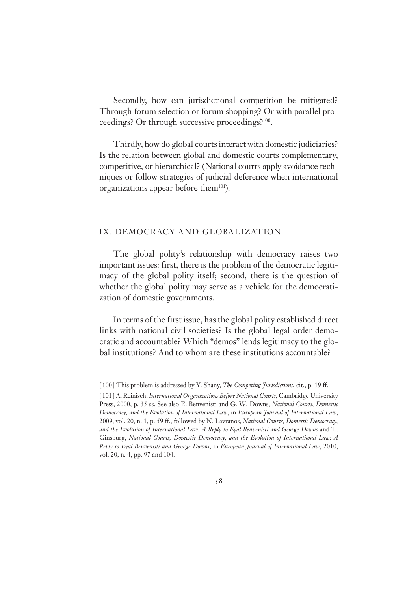Secondly, how can jurisdictional competition be mitigated? Through forum selection or forum shopping? Or with parallel proceedings? Or through successive proceedings?100.

Thirdly, how do global courts interact with domestic judiciaries? Is the relation between global and domestic courts complementary, competitive, or hierarchical? (National courts apply avoidance techniques or follow strategies of judicial deference when international organizations appear before them<sup>101</sup>).

### IX. DEMOCRACY AND GLOBALIZATION

The global polity's relationship with democracy raises two important issues: first, there is the problem of the democratic legitimacy of the global polity itself; second, there is the question of whether the global polity may serve as a vehicle for the democratization of domestic governments.

In terms of the first issue, has the global polity established direct links with national civil societies? Is the global legal order democratic and accountable? Which "demos" lends legitimacy to the global institutions? And to whom are these institutions accountable?

<sup>[ 100 ]</sup> This problem is addressed by Y. Shany, *The Competing Jurisdictions,* cit., p. 19 ff.

<sup>[ 101 ]</sup> A. Reinisch, *International Organizations Before National Courts*, Cambridge University Press, 2000, p. 35 ss. See also E. Benvenisti and G. W. Downs, *National Courts, Domestic Democracy, and the Evolution of International Law*, in *European Journal of International Law*, 2009, vol. 20, n. 1, p. 59 ff., followed by N. Lavranos, *National Courts, Domestic Democracy, and the Evolution of International Law: A Reply to Eyal Benvenisti and George Downs* and T. Ginsburg, *National Courts, Domestic Democracy, and the Evolution of International Law: A Reply to Eyal Benvenisti and George Downs*, in *European Journal of International Law*, 2010, vol. 20, n. 4, pp. 97 and 104.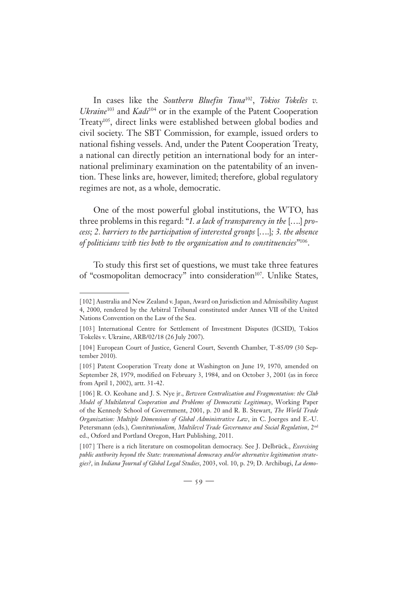In cases like the *Southern Bluefin Tuna*102, *Tokios Tokelès v. Ukraine*103 and *Kadi*<sup>104</sup> or in the example of the Patent Cooperation Treaty<sup>105</sup>, direct links were established between global bodies and civil society. The SBT Commission, for example, issued orders to national fishing vessels. And, under the Patent Cooperation Treaty, a national can directly petition an international body for an international preliminary examination on the patentability of an invention. These links are, however, limited; therefore, global regulatory regimes are not, as a whole, democratic.

One of the most powerful global institutions, the WTO, has three problems in this regard: "*1. a lack of transparency in the* [….] *process; 2. barriers to the participation of interested groups* [….]*; 3. the absence of politicians with ties both to the organization and to constituencies*"106.

To study this first set of questions, we must take three features of "cosmopolitan democracy" into consideration<sup>107</sup>. Unlike States,

[ 107 ] There is a rich literature on cosmopolitan democracy. See J. Delbrück., *Exercising public authority beyond the State: transnational democracy and/or alternative legitimation strategies?*, in *Indiana Journal of Global Legal Studies*, 2003, vol. 10, p. 29; D. Archibugi, *La demo-*

<sup>[ 102 ]</sup> Australia and New Zealand v. Japan, Award on Jurisdiction and Admissibility August 4, 2000, rendered by the Arbitral Tribunal constituted under Annex VII of the United Nations Convention on the Law of the Sea.

<sup>[103]</sup> International Centre for Settlement of Investment Disputes (ICSID), Tokios Tokelės v. Ukraine, ARB/02/18 (26 July 2007).

<sup>[ 104]</sup> European Court of Justice, General Court, Seventh Chamber, T-85/09 (30 September 2010).

<sup>[105]</sup> Patent Cooperation Treaty done at Washington on June 19, 1970, amended on September 28, 1979, modified on February 3, 1984, and on October 3, 2001 (as in force from April 1, 2002), artt. 31-42.

<sup>[ 106 ]</sup> R. O. Keohane and J. S. Nye jr., *Between Centralization and Fragmentation: the Club Model of Multilateral Cooperation and Problems of Democratic Legitimacy*, Working Paper of the Kennedy School of Government, 2001, p. 20 and R. B. Stewart, *The World Trade Organization: Multiple Dimensions of Global Administrative Law*, in C. Joerges and E.-U. Petersmann (eds.), *Constitutionalism, Multilevel Trade Governance and Social Regulation*, 2nd ed., Oxford and Portland Oregon, Hart Publishing, 2011.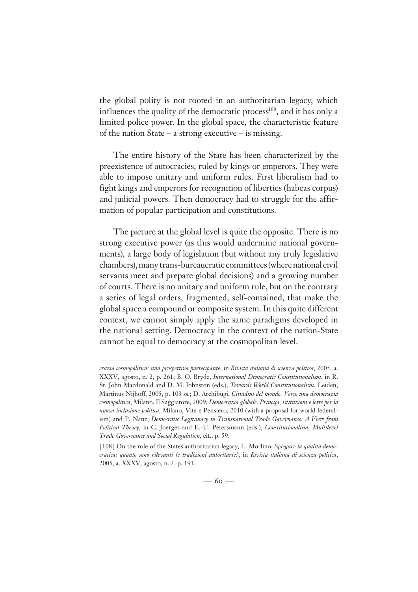the global polity is not rooted in an authoritarian legacy, which influences the quality of the democratic process<sup>108</sup>, and it has only a limited police power. In the global space, the characteristic feature of the nation State – a strong executive – is missing.

The entire history of the State has been characterized by the preexistence of autocracies, ruled by kings or emperors. They were able to impose unitary and uniform rules. First liberalism had to fight kings and emperors for recognition of liberties (habeas corpus) and judicial powers. Then democracy had to struggle for the affirmation of popular participation and constitutions.

The picture at the global level is quite the opposite. There is no strong executive power (as this would undermine national governments), a large body of legislation (but without any truly legislative chambers), many trans-bureaucratic committees (where national civil servants meet and prepare global decisions) and a growing number of courts. There is no unitary and uniform rule, but on the contrary a series of legal orders, fragmented, self-contained, that make the global space a compound or composite system. In this quite different context, we cannot simply apply the same paradigms developed in the national setting. Democracy in the context of the nation-State cannot be equal to democracy at the cosmopolitan level.

*crazia cosmopolitica: una prospettiva partecipante*, in *Rivista italiana di scienza politica*, 2005, a. XXXV, agosto, n. 2, p. 261; B. O. Bryde, *International Democratic Constitutionalism*, in R. St. John Macdonald and D. M. Johnston (eds.), *Towards World Constitutionalism*, Leiden, Martinus Nijhoff, 2005, p. 103 ss.; D. Archibugi, *Cittadini del mondo. Verso una democrazia cosmopolitica*, Milano, Il Saggiatore, 2009; *Democrazia globale. Principi, istituzioni e lotte per la nuova inclusione politica*, Milano, Vita e Pensiero, 2010 (with a proposal for world federalism) and P. Nanz, *Democratic Legitimacy in Transnational Trade Governance: A View from Political Theory*, in C. Joerges and E.-U. Petersmann (eds.), *Constitutionalism, Multilevel Trade Governance and Social Regulation,* cit., p. 59.

<sup>[ 108 ]</sup> On the role of the States'authoritarian legacy, L. Morlino, *Spiegare la qualità democratica: quanto sono rilevanti le tradizioni autoritarie?*, in *Rivista italiana di scienza politica*, 2005, a. XXXV, agosto, n. 2, p. 191.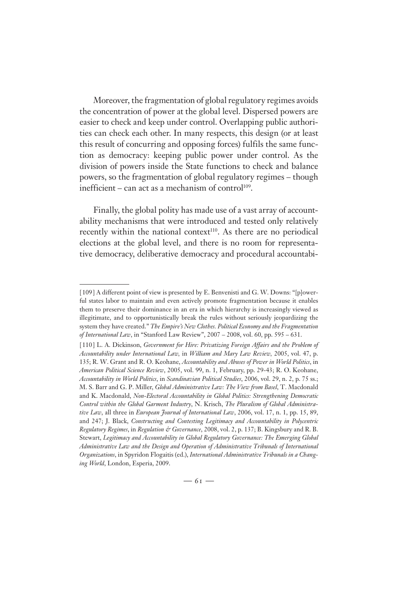Moreover, the fragmentation of global regulatory regimes avoids the concentration of power at the global level. Dispersed powers are easier to check and keep under control. Overlapping public authorities can check each other. In many respects, this design (or at least this result of concurring and opposing forces) fulfils the same function as democracy: keeping public power under control. As the division of powers inside the State functions to check and balance powers, so the fragmentation of global regulatory regimes – though inefficient – can act as a mechanism of control<sup>109</sup>.

Finally, the global polity has made use of a vast array of accountability mechanisms that were introduced and tested only relatively recently within the national context<sup>110</sup>. As there are no periodical elections at the global level, and there is no room for representative democracy, deliberative democracy and procedural accountabi-

<sup>[ 109 ]</sup> A different point of view is presented by E. Benvenisti and G. W. Downs: "[p]owerful states labor to maintain and even actively promote fragmentation because it enables them to preserve their dominance in an era in which hierarchy is increasingly viewed as illegitimate, and to opportunistically break the rules without seriously jeopardizing the system they have created." *The Empire's New Clothes. Political Economy and the Fragmentation of International Law*, in "Stanford Law Review", 2007 – 2008, vol. 60, pp. 595 – 631.

<sup>[ 110 ]</sup> L. A. Dickinson, *Government for Hire: Privatizing Foreign Affairs and the Problem of Accountability under International Law,* in *William and Mary Law Review,* 2005, vol. 47, p. 135; R. W. Grant and R. O. Keohane, *Accountability and Abuses of Power in World Politics*, in *American Political Science Review*, 2005, vol. 99, n. 1, February, pp. 29-43; R. O. Keohane, *Accountability in World Politics*, in *Scandinavian Political Studies*, 2006, vol. 29, n. 2, p. 75 ss.; M. S. Barr and G. P. Miller, *Global Administrative Law: The View from Basel*, T. Macdonald and K. Macdonald, *Non-Electoral Accountability in Global Politics: Strengthening Democratic Control within the Global Garment Industry*, N. Krisch, *The Pluralism of Global Administrative Law*, all three in *European Journal of International Law*, 2006, vol. 17, n. 1, pp. 15, 89, and 247; J. Black, *Constructing and Contesting Legitimacy and Accountability in Polycentric Regulatory Regimes*, in *Regulation & Governance*, 2008, vol. 2, p. 137; B. Kingsbury and R. B. Stewart, *Legitimacy and Accountability in Global Regulatory Governance: The Emerging Global Administrative Law and the Design and Operation of Administrative Tribunals of International Organizations*, in Spyridon Flogaitis (ed.), *International Administrative Tribunals in a Changing World*, London, Esperia, 2009.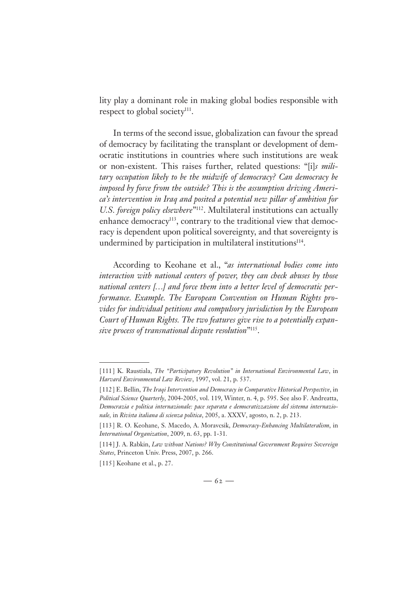lity play a dominant role in making global bodies responsible with respect to global society<sup>111</sup>.

In terms of the second issue, globalization can favour the spread of democracy by facilitating the transplant or development of democratic institutions in countries where such institutions are weak or non-existent. This raises further, related questions: "[i]*s military occupation likely to be the midwife of democracy? Can democracy be imposed by force from the outside? This is the assumption driving America's intervention in Iraq and posited a potential new pillar of ambition for U.S. foreign policy elsewhere*"112. Multilateral institutions can actually enhance democracy<sup>113</sup>, contrary to the traditional view that democracy is dependent upon political sovereignty, and that sovereignty is undermined by participation in multilateral institutions<sup>114</sup>.

According to Keohane et al., "*as international bodies come into interaction with national centers of power, they can check abuses by those national centers […] and force them into a better level of democratic performance. Example. The European Convention on Human Rights provides for individual petitions and compulsory jurisdiction by the European Court of Human Rights. The two features give rise to a potentially expansive process of transnational dispute resolution*"115.

<sup>[ 111 ]</sup> K. Raustiala, *The "Participatory Revolution" in International Environmental Law*, in *Harvard Environmental Law Review*, 1997, vol. 21, p. 537.

<sup>[ 112 ]</sup> E. Bellin, *The Iraqi Intervention and Democracy in Comparative Historical Perspective*, in *Political Science Quarterly*, 2004-2005, vol. 119, Winter, n. 4, p. 595. See also F. Andreatta, *Democrazia e politica internazionale: pace separata e democratizzazione del sistema internazionale,* in *Rivista italiana di scienza politica*, 2005, a. XXXV, agosto, n. 2, p. 213.

<sup>[ 113 ]</sup> R. O. Keohane, S. Macedo, A. Moravcsik, *Democracy-Enhancing Multilateralism*, in *International Organization*, 2009, n. 63, pp. 1-31*.*

<sup>[ 114 ]</sup> J. A. Rabkin, *Law without Nations? Why Constitutional Government Requires Sovereign States*, Princeton Univ. Press, 2007, p. 266.

<sup>[ 115 ]</sup> Keohane et al., p. 27.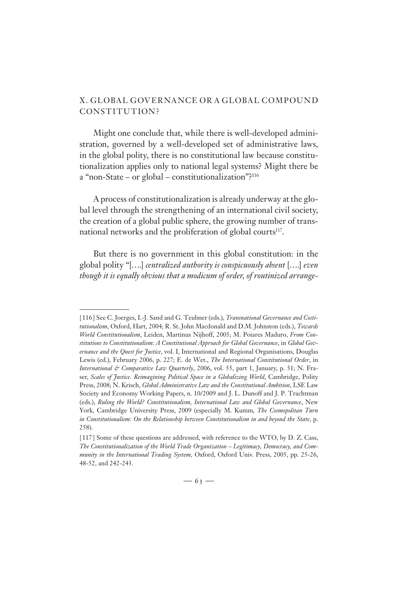# X. GLOBAL GOVERNANCE OR A GLOBAL COMPOUND CONSTITUTION?

Might one conclude that, while there is well-developed administration, governed by a well-developed set of administrative laws, in the global polity, there is no constitutional law because constitutionalization applies only to national legal systems? Might there be a "non-State – or global – constitutionalization"?116

A process of constitutionalization is already underway at the global level through the strengthening of an international civil society, the creation of a global public sphere, the growing number of transnational networks and the proliferation of global courts<sup>117</sup>.

But there is no government in this global constitution: in the global polity "[….] *centralized authority is conspicuously absent* [….] *even though it is equally obvious that a modicum of order, of routinized arrange-*

<sup>[ 116 ]</sup> See C. Joerges, I.-J. Sand and G. Teubner (eds.), *Transnational Governance and Costitutionalism*, Oxford, Hart, 2004; R. St. John Macdonald and D.M. Johnston (eds.), *Towards World Constitutionalism*, Leiden, Martinus Nijhoff, 2005; M. Poiares Maduro, *From Constitutions to Constitutionalism: A Constitutional Approach for Global Governance*, in *Global Governance and the Quest for Justice*, vol. I, International and Regional Organisations, Douglas Lewis (ed.), February 2006, p. 227; E. de Wet., *The International Constitutional Order*, in *International & Comparative Law Quarterly*, 2006, vol. 55, part 1, January, p. 51; N. Fraser, *Scales of Justice. Reimagining Political Space in a Globalizing World*, Cambridge, Polity Press, 2008; N. Krisch, *Global Administrative Law and the Constitutional Ambition*, LSE Law Society and Economy Working Papers, n. 10/2009 and J. L. Dunoff and J. P. Trachtman (eds.), *Ruling the World? Constitutionalism, International Law and Global Governance*, New York, Cambridge University Press, 2009 (especially M. Kumm, *The Cosmopolitan Turn in Constitutionalism: On the Relationship between Constitutionalism in and beyond the State*, p. 258).

<sup>[117]</sup> Some of these questions are addressed, with reference to the WTO, by D. Z. Cass, *The Constitutionalization of the World Trade Organization – Legitimacy, Democracy, and Community in the International Trading System,* Oxford, Oxford Univ. Press, 2005, pp. 25-26, 48-52, and 242-243.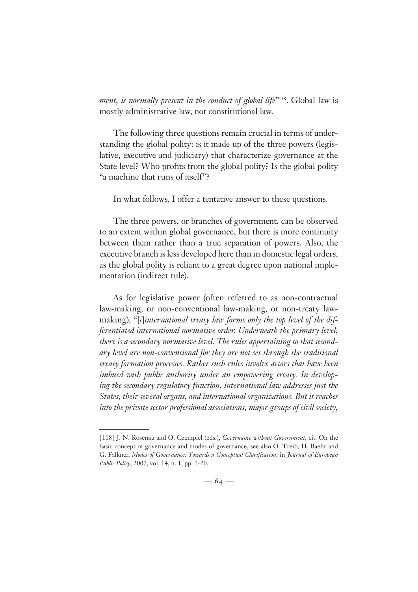*ment, is normally present in the conduct of global life*"118. Global law is mostly administrative law, not constitutional law.

The following three questions remain crucial in terms of understanding the global polity: is it made up of the three powers (legislative, executive and judiciary) that characterize governance at the State level? Who profits from the global polity? Is the global polity "a machine that runs of itself"?

In what follows, I offer a tentative answer to these questions.

The three powers, or branches of government, can be observed to an extent within global governance, but there is more continuity between them rather than a true separation of powers. Also, the executive branch is less developed here than in domestic legal orders, as the global polity is reliant to a great degree upon national implementation (indirect rule).

As for legislative power (often referred to as non-contractual law-making, or non-conventional law-making, or non-treaty lawmaking), "[*i*]*international treaty law forms only the top level of the differentiated international normative order. Underneath the primary level, there is a secondary normative level. The rules appertaining to that secondary level are non-conventional for they are not set through the traditional treaty formation processes. Rather such rules involve actors that have been imbued with public authority under an empowering treaty. In developing the secondary regulatory function, international law addresses just the States, their several organs, and international organizations. But it reaches into the private sector professional associations, major groups of civil society,* 

<sup>[ 118 ]</sup> J. N. Rosenau and O. Czempiel (eds.), *Governance without Government*, cit. On the basic concept of governance and modes of governance, see also O. Treib, H. Baehr and G. Falkner, *Modes of Governance: Towards a Conceptual Clarification*, in *Journal of European Public Policy*, 2007, vol. 14, n. 1, pp. 1-20.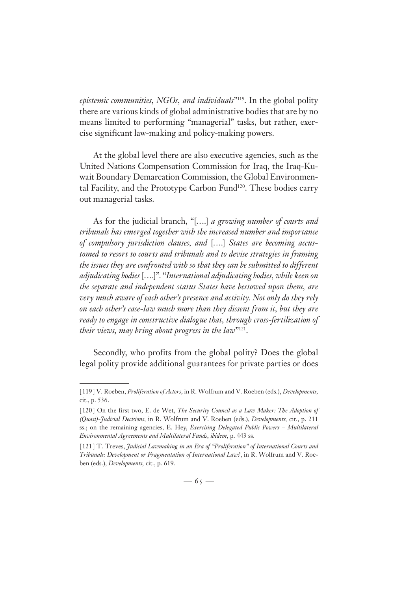*epistemic communities, NGOs, and individuals*<sup>"119</sup>. In the global polity there are various kinds of global administrative bodies that are by no means limited to performing "managerial" tasks, but rather, exercise significant law-making and policy-making powers.

At the global level there are also executive agencies, such as the United Nations Compensation Commission for Iraq, the Iraq-Kuwait Boundary Demarcation Commission, the Global Environmental Facility, and the Prototype Carbon Fund120. These bodies carry out managerial tasks.

As for the judicial branch, "[….] *a growing number of courts and tribunals has emerged together with the increased number and importance of compulsory jurisdiction clauses, and* [….] *States are becoming accustomed to resort to courts and tribunals and to devise strategies in framing the issues they are confronted with so that they can be submitted to different adjudicating bodies* [….]". "*International adjudicating bodies, while keen on the separate and independent status States have bestowed upon them, are very much aware of each other's presence and activity. Not only do they rely on each other's case-law much more than they dissent from it, but they are ready to engage in constructive dialogue that, through cross-fertilization of their views, may bring about progress in the law*"121.

Secondly, who profits from the global polity? Does the global legal polity provide additional guarantees for private parties or does

<sup>[ 119 ]</sup> V. Roeben, *Proliferation of Actors*, in R. Wolfrum and V. Roeben (eds.), *Developments,* cit., p. 536.

<sup>[120]</sup> On the first two, E. de Wet, *The Security Council as a Law Maker: The Adoption of (Quasi)-Judicial Decisions*, in R. Wolfrum and V. Roeben (eds.), *Developments,* cit., p. 211 ss.; on the remaining agencies, E. Hey, *Exercising Delegated Public Powers – Multilateral Environmental Agreements and Multilateral Funds*, *ibidem,* p. 443 ss.

<sup>[ 121 ]</sup> T. Treves, *Judicial Lawmaking in an Era of "Proliferation" of International Courts and Tribunals: Development or Fragmentation of International Law?*, in R. Wolfrum and V. Roeben (eds.), *Developments,* cit., p. 619.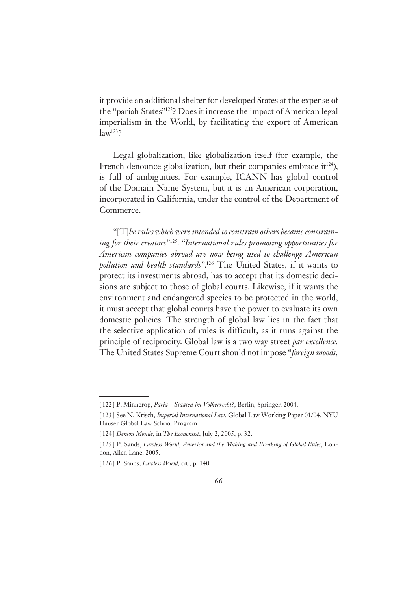it provide an additional shelter for developed States at the expense of the "pariah States"122? Does it increase the impact of American legal imperialism in the World, by facilitating the export of American  $law<sup>123</sup>$ ?

Legal globalization, like globalization itself (for example, the French denounce globalization, but their companies embrace it<sup>124</sup>), is full of ambiguities. For example, ICANN has global control of the Domain Name System, but it is an American corporation, incorporated in California, under the control of the Department of Commerce.

"[T]*he rules which were intended to constrain others became constraining for their creators*"125. "*International rules promoting opportunities for American companies abroad are now being used to challenge American pollution and health standards*".126 The United States, if it wants to protect its investments abroad, has to accept that its domestic decisions are subject to those of global courts. Likewise, if it wants the environment and endangered species to be protected in the world, it must accept that global courts have the power to evaluate its own domestic policies. The strength of global law lies in the fact that the selective application of rules is difficult, as it runs against the principle of reciprocity. Global law is a two way street *par excellence.* The United States Supreme Court should not impose "*foreign moods,* 

<sup>[ 122 ]</sup> P. Minnerop, *Paria – Staaten im Völkerrecht?*, Berlin, Springer, 2004.

<sup>[ 123 ]</sup> See N. Krisch, *Imperial International Law*, Global Law Working Paper 01/04, NYU Hauser Global Law School Program.

<sup>[ 124 ]</sup> *Demon Monde*, in *The Economist*, July 2, 2005, p. 32.

<sup>[ 125 ]</sup> P. Sands, *Lawless World*, *America and the Making and Breaking of Global Rules*, London, Allen Lane, 2005.

<sup>[ 126 ]</sup> P. Sands, *Lawless World,* cit., p. 140.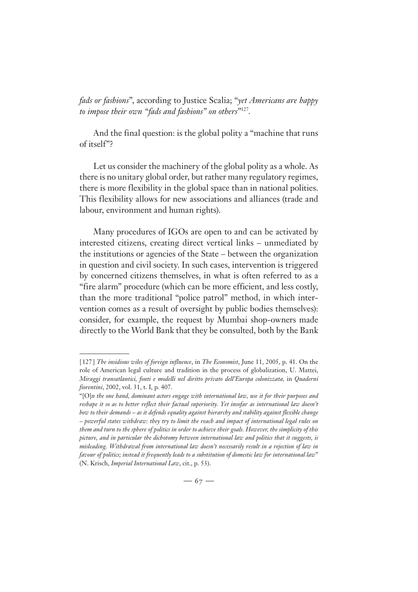*fads or fashions*", according to Justice Scalia; "*yet Americans are happy to impose their own "fads and fashions" on others*"127.

And the final question: is the global polity a "machine that runs of itself"?

Let us consider the machinery of the global polity as a whole. As there is no unitary global order, but rather many regulatory regimes, there is more flexibility in the global space than in national polities. This flexibility allows for new associations and alliances (trade and labour, environment and human rights).

Many procedures of IGOs are open to and can be activated by interested citizens, creating direct vertical links – unmediated by the institutions or agencies of the State – between the organization in question and civil society. In such cases, intervention is triggered by concerned citizens themselves, in what is often referred to as a "fire alarm" procedure (which can be more efficient, and less costly, than the more traditional "police patrol" method, in which intervention comes as a result of oversight by public bodies themselves): consider, for example, the request by Mumbai shop-owners made directly to the World Bank that they be consulted, both by the Bank

<sup>[ 127 ]</sup> *The insidious wiles of foreign influence*, in *The Economist*, June 11, 2005, p. 41. On the role of American legal culture and tradition in the process of globalization, U. Mattei, *Miraggi transatlantici, fonti e modelli nel diritto privato dell'Europa colonizzata,* in *Quaderni fiorentini*, 2002, vol. 31, t. I, p. 407.

<sup>&</sup>quot;[O]*n the one hand, dominant actors engage with international law, use it for their purposes and reshape it so as to better reflect their factual superiority. Yet insofar as international law doesn't bow to their demands – as it defends equality against hierarchy and stability against flexible change – powerful states withdraw: they try to limit the reach and impact of international legal rules on them and turn to the sphere of politics in order to achieve their goals. However, the simplicity of this picture, and in particular the dichotomy between international law and politics that it suggests, is misleading. Withdrawal from international law doesn't necessarily result in a rejection of law in favour of politics; instead it frequently leads to a substitution of domestic law for international law*" (N. Krisch, *Imperial International Law*, cit., p. 53).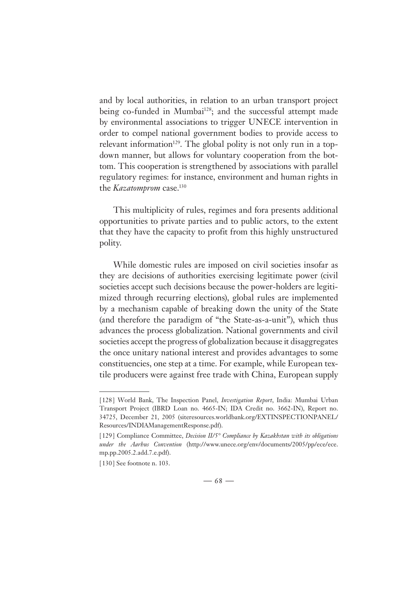and by local authorities, in relation to an urban transport project being co-funded in Mumbai<sup>128</sup>; and the successful attempt made by environmental associations to trigger UNECE intervention in order to compel national government bodies to provide access to relevant information<sup>129</sup>. The global polity is not only run in a topdown manner, but allows for voluntary cooperation from the bottom. This cooperation is strengthened by associations with parallel regulatory regimes: for instance, environment and human rights in the *Kazatomprom* case.<sup>130</sup>

This multiplicity of rules, regimes and fora presents additional opportunities to private parties and to public actors, to the extent that they have the capacity to profit from this highly unstructured polity.

While domestic rules are imposed on civil societies insofar as they are decisions of authorities exercising legitimate power (civil societies accept such decisions because the power-holders are legitimized through recurring elections), global rules are implemented by a mechanism capable of breaking down the unity of the State (and therefore the paradigm of "the State-as-a-unit"), which thus advances the process globalization. National governments and civil societies accept the progress of globalization because it disaggregates the once unitary national interest and provides advantages to some constituencies, one step at a time. For example, while European textile producers were against free trade with China, European supply

<sup>[ 128 ]</sup> World Bank, The Inspection Panel, *Investigation Report*, India: Mumbai Urban Transport Project (IBRD Loan no. 4665-IN; IDA Credit no. 3662-IN), Report no. 34725, December 21, 2005 (siteresources.worldbank.org/EXTINSPECTIONPANEL/ Resources/INDIAManagementResponse.pdf).

<sup>[ 129 ]</sup> Compliance Committee, *Decision II/5° Compliance by Kazakhstan with its obligations under the Aarhus Convention* (http://www.unece.org/env/documents/2005/pp/ece/ece. mp.pp.2005.2.add.7.e.pdf).

<sup>[130]</sup> See footnote n. 103.